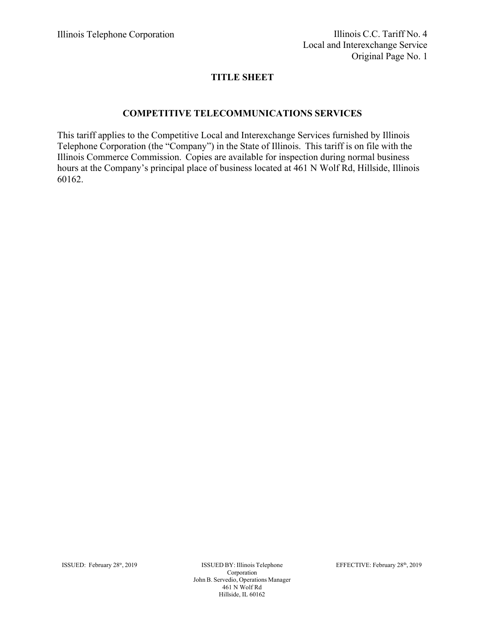# **TITLE SHEET**

## **COMPETITIVE TELECOMMUNICATIONS SERVICES**

This tariff applies to the Competitive Local and Interexchange Services furnished by Illinois Telephone Corporation (the "Company") in the State of Illinois. This tariff is on file with the Illinois Commerce Commission. Copies are available for inspection during normal business hours at the Company's principal place of business located at 461 N Wolf Rd, Hillside, Illinois 60162.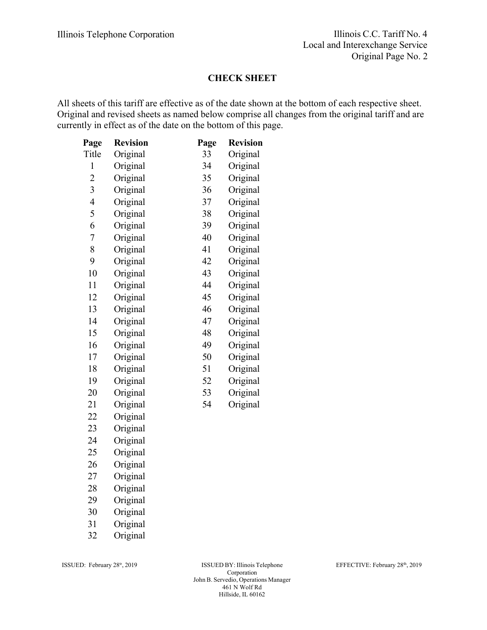#### **CHECK SHEET**

All sheets of this tariff are effective as of the date shown at the bottom of each respective sheet. Original and revised sheets as named below comprise all changes from the original tariff and are currently in effect as of the date on the bottom of this page.

| Page           | <b>Revision</b> | Page | <b>Revision</b> |
|----------------|-----------------|------|-----------------|
| Title          | Original        | 33   | Original        |
| $\mathbf{1}$   | Original        | 34   | Original        |
| $\overline{c}$ | Original        | 35   | Original        |
| 3              | Original        | 36   | Original        |
| $\overline{4}$ | Original        | 37   | Original        |
| 5              | Original        | 38   | Original        |
| 6              | Original        | 39   | Original        |
| $\overline{7}$ | Original        | 40   | Original        |
| 8              | Original        | 41   | Original        |
| 9              | Original        | 42   | Original        |
| 10             | Original        | 43   | Original        |
| 11             | Original        | 44   | Original        |
| 12             | Original        | 45   | Original        |
| 13             | Original        | 46   | Original        |
| 14             | Original        | 47   | Original        |
| 15             | Original        | 48   | Original        |
| 16             | Original        | 49   | Original        |
| 17             | Original        | 50   | Original        |
| 18             | Original        | 51   | Original        |
| 19             | Original        | 52   | Original        |
| 20             | Original        | 53   | Original        |
| 21             | Original        | 54   | Original        |
| 22             | Original        |      |                 |
| 23             | Original        |      |                 |
| 24             | Original        |      |                 |
| 25             | Original        |      |                 |
| 26             | Original        |      |                 |
| 27             | Original        |      |                 |
| 28             | Original        |      |                 |
|                |                 |      |                 |

- 29 Original
- 30 Original
- 31 Original
- 32 Original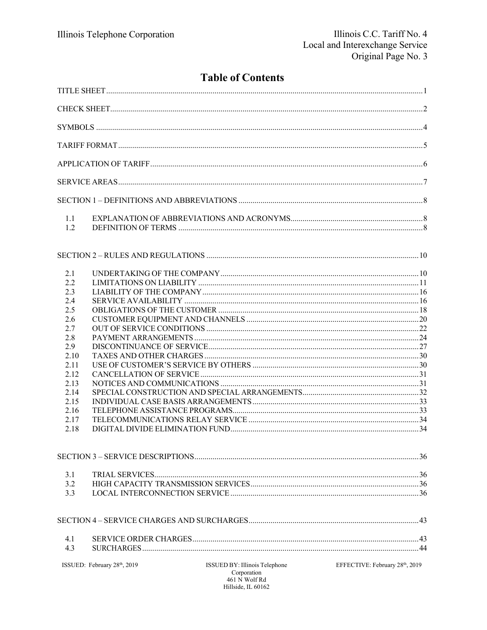# **Table of Contents**

| 1.1<br>1.2                                                                                                                  |                             |                                                                                     |                                             |
|-----------------------------------------------------------------------------------------------------------------------------|-----------------------------|-------------------------------------------------------------------------------------|---------------------------------------------|
|                                                                                                                             |                             |                                                                                     |                                             |
| 2.1<br>2.2<br>2.3<br>2.4<br>2.5<br>2.6<br>2.7<br>2.8<br>2.9<br>2.10<br>2.11<br>2.12<br>2.13<br>2.14<br>2.15<br>2.16<br>2.17 |                             |                                                                                     |                                             |
| 2.18                                                                                                                        |                             |                                                                                     |                                             |
| 3.1<br>3.2<br>3.3                                                                                                           |                             |                                                                                     |                                             |
|                                                                                                                             |                             |                                                                                     |                                             |
| 4.1<br>4.3                                                                                                                  |                             |                                                                                     |                                             |
|                                                                                                                             | ISSUED: February 28th, 2019 | ISSUED BY: Illinois Telephone<br>Corporation<br>461 N Wolf Rd<br>Hillside, IL 60162 | EFFECTIVE: February 28 <sup>th</sup> , 2019 |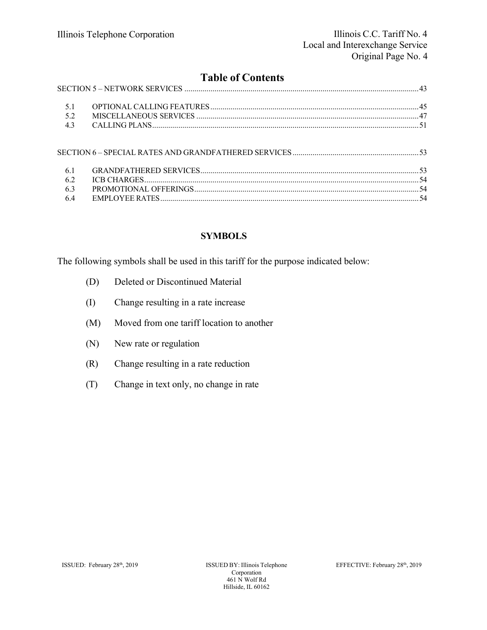# **Table of Contents**

| 52  |  |
|-----|--|
| 4.3 |  |
|     |  |
| 6.1 |  |
| 6.2 |  |
| 63  |  |
|     |  |

# **SYMBOLS**

The following symbols shall be used in this tariff for the purpose indicated below:

- (D) Deleted or Discontinued Material
- (I) Change resulting in a rate increase
- (M) Moved from one tariff location to another
- (N) New rate or regulation
- (R) Change resulting in a rate reduction
- (T) Change in text only, no change in rate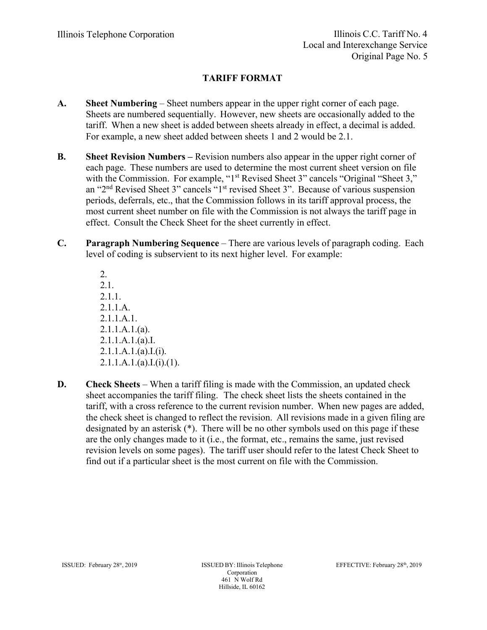# **TARIFF FORMAT**

- **A. Sheet Numbering**  Sheet numbers appear in the upper right corner of each page. Sheets are numbered sequentially. However, new sheets are occasionally added to the tariff. When a new sheet is added between sheets already in effect, a decimal is added. For example, a new sheet added between sheets 1 and 2 would be 2.1.
- **B. Sheet Revision Numbers** Revision numbers also appear in the upper right corner of each page. These numbers are used to determine the most current sheet version on file with the Commission. For example, "1<sup>st</sup> Revised Sheet 3" cancels "Original "Sheet 3," an "2nd Revised Sheet 3" cancels "1st revised Sheet 3". Because of various suspension periods, deferrals, etc., that the Commission follows in its tariff approval process, the most current sheet number on file with the Commission is not always the tariff page in effect. Consult the Check Sheet for the sheet currently in effect.
- **C. Paragraph Numbering Sequence**  There are various levels of paragraph coding. Each level of coding is subservient to its next higher level. For example:

2. 2.1. 2.1.1. 2.1.1.A. 2.1.1.A.1. 2.1.1.A.1.(a). 2.1.1.A.1.(a).I.  $2.1.1.A.1.(a).I.(i).$  $2.1.1.A.1.(a).I.(i).(1).$ 

**D. Check Sheets** – When a tariff filing is made with the Commission, an updated check sheet accompanies the tariff filing. The check sheet lists the sheets contained in the tariff, with a cross reference to the current revision number. When new pages are added, the check sheet is changed to reflect the revision. All revisions made in a given filing are designated by an asterisk (\*). There will be no other symbols used on this page if these are the only changes made to it (i.e., the format, etc., remains the same, just revised revision levels on some pages). The tariff user should refer to the latest Check Sheet to find out if a particular sheet is the most current on file with the Commission.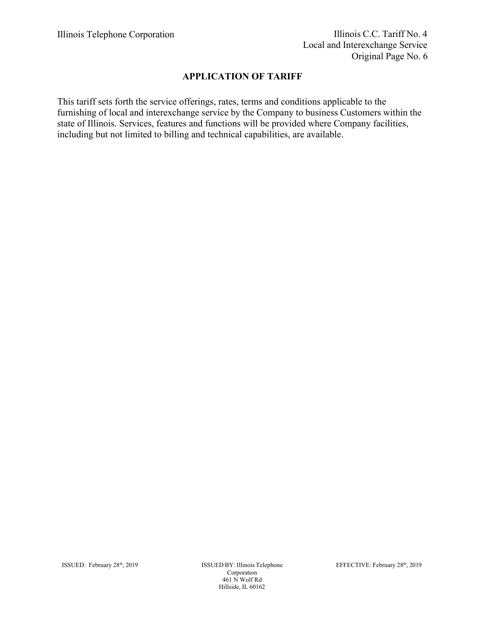# **APPLICATION OF TARIFF**

This tariff sets forth the service offerings, rates, terms and conditions applicable to the furnishing of local and interexchange service by the Company to business Customers within the state of Illinois. Services, features and functions will be provided where Company facilities, including but not limited to billing and technical capabilities, are available.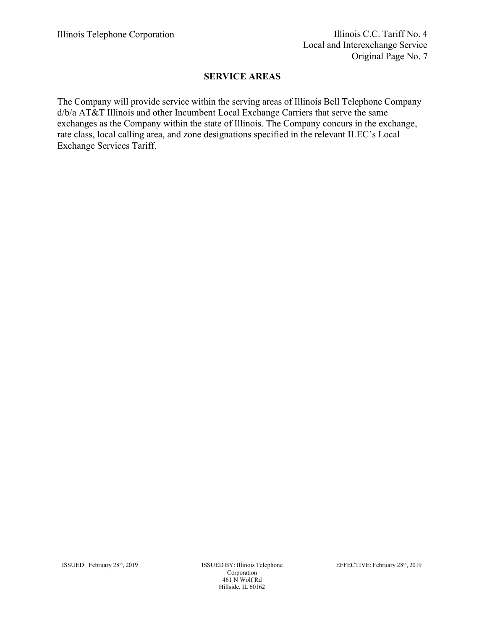# **SERVICE AREAS**

The Company will provide service within the serving areas of Illinois Bell Telephone Company d/b/a AT&T Illinois and other Incumbent Local Exchange Carriers that serve the same exchanges as the Company within the state of Illinois. The Company concurs in the exchange, rate class, local calling area, and zone designations specified in the relevant ILEC's Local Exchange Services Tariff.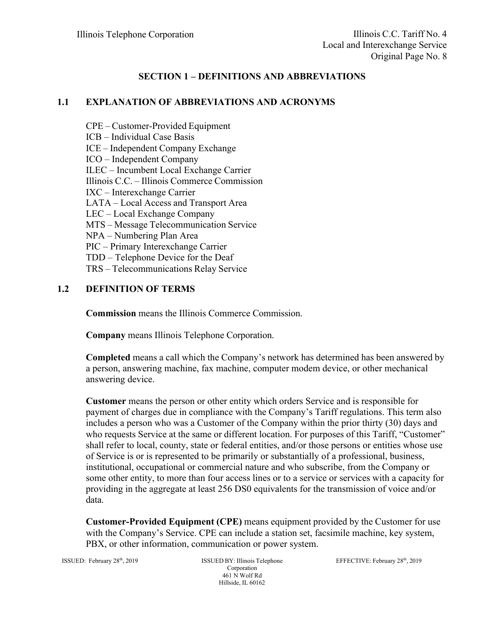# **SECTION 1 – DEFINITIONS AND ABBREVIATIONS**

## **1.1 EXPLANATION OF ABBREVIATIONS AND ACRONYMS**

- CPE Customer-Provided Equipment
- ICB Individual Case Basis

ICE – Independent Company Exchange

- ICO Independent Company
- ILEC Incumbent Local Exchange Carrier

Illinois C.C. – Illinois Commerce Commission

- IXC Interexchange Carrier
- LATA Local Access and Transport Area
- LEC Local Exchange Company
- MTS Message Telecommunication Service
- NPA Numbering Plan Area
- PIC Primary Interexchange Carrier
- TDD Telephone Device for the Deaf
- TRS Telecommunications Relay Service

#### **1.2 DEFINITION OF TERMS**

**Commission** means the Illinois Commerce Commission.

**Company** means Illinois Telephone Corporation.

**Completed** means a call which the Company's network has determined has been answered by a person, answering machine, fax machine, computer modem device, or other mechanical answering device.

**Customer** means the person or other entity which orders Service and is responsible for payment of charges due in compliance with the Company's Tariff regulations. This term also includes a person who was a Customer of the Company within the prior thirty (30) days and who requests Service at the same or different location. For purposes of this Tariff, "Customer" shall refer to local, county, state or federal entities, and/or those persons or entities whose use of Service is or is represented to be primarily or substantially of a professional, business, institutional, occupational or commercial nature and who subscribe, from the Company or some other entity, to more than four access lines or to a service or services with a capacity for providing in the aggregate at least 256 DS0 equivalents for the transmission of voice and/or data.

**Customer-Provided Equipment (CPE)** means equipment provided by the Customer for use with the Company's Service. CPE can include a station set, facsimile machine, key system, PBX, or other information, communication or power system.

ISSUED: February 28<sup>th</sup>, 2019 **ISSUED BY: Illinois Telephone** Corporation 461 N Wolf Rd Hillside, IL 60162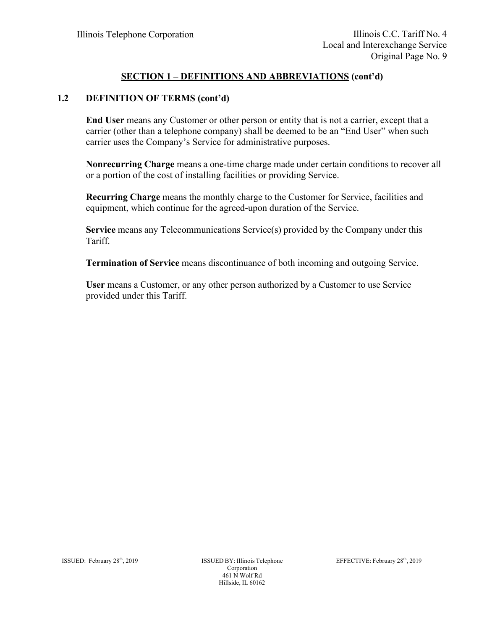# **SECTION 1 – DEFINITIONS AND ABBREVIATIONS (cont'd)**

#### **1.2 DEFINITION OF TERMS (cont'd)**

**End User** means any Customer or other person or entity that is not a carrier, except that a carrier (other than a telephone company) shall be deemed to be an "End User" when such carrier uses the Company's Service for administrative purposes.

**Nonrecurring Charge** means a one-time charge made under certain conditions to recover all or a portion of the cost of installing facilities or providing Service.

**Recurring Charge** means the monthly charge to the Customer for Service, facilities and equipment, which continue for the agreed-upon duration of the Service.

**Service** means any Telecommunications Service(s) provided by the Company under this Tariff.

**Termination of Service** means discontinuance of both incoming and outgoing Service.

**User** means a Customer, or any other person authorized by a Customer to use Service provided under this Tariff.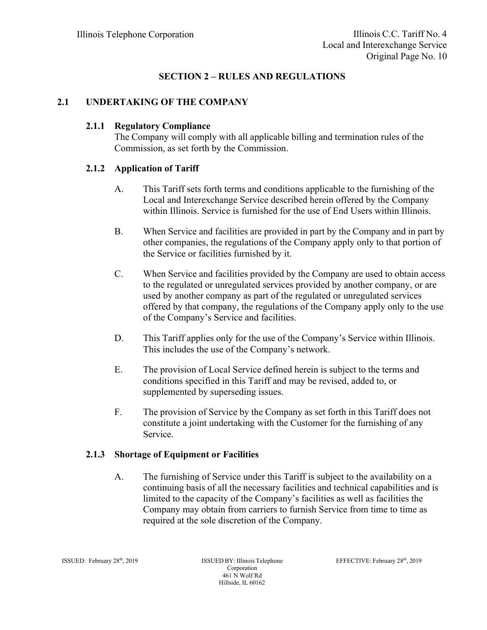# **SECTION 2 – RULES AND REGULATIONS**

## **2.1 UNDERTAKING OF THE COMPANY**

#### **2.1.1 Regulatory Compliance**

The Company will comply with all applicable billing and termination rules of the Commission, as set forth by the Commission.

# **2.1.2 Application of Tariff**

- A. This Tariff sets forth terms and conditions applicable to the furnishing of the Local and Interexchange Service described herein offered by the Company within Illinois. Service is furnished for the use of End Users within Illinois.
- B. When Service and facilities are provided in part by the Company and in part by other companies, the regulations of the Company apply only to that portion of the Service or facilities furnished by it.
- C. When Service and facilities provided by the Company are used to obtain access to the regulated or unregulated services provided by another company, or are used by another company as part of the regulated or unregulated services offered by that company, the regulations of the Company apply only to the use of the Company's Service and facilities.
- D. This Tariff applies only for the use of the Company's Service within Illinois. This includes the use of the Company's network.
- E. The provision of Local Service defined herein is subject to the terms and conditions specified in this Tariff and may be revised, added to, or supplemented by superseding issues.
- F. The provision of Service by the Company as set forth in this Tariff does not constitute a joint undertaking with the Customer for the furnishing of any Service.

## **2.1.3 Shortage of Equipment or Facilities**

A. The furnishing of Service under this Tariff is subject to the availability on a continuing basis of all the necessary facilities and technical capabilities and is limited to the capacity of the Company's facilities as well as facilities the Company may obtain from carriers to furnish Service from time to time as required at the sole discretion of the Company.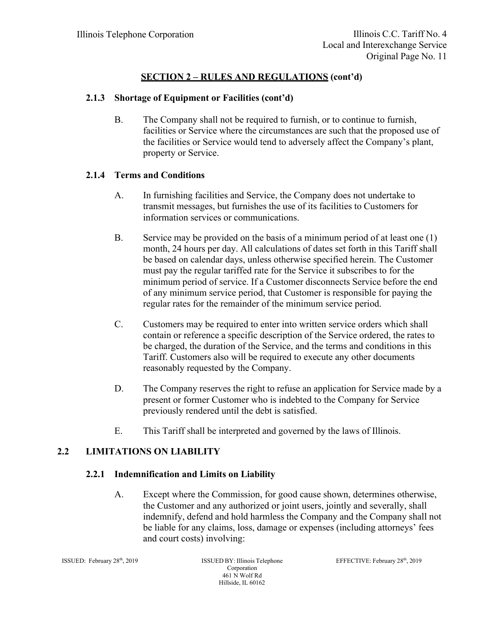## **2.1.3 Shortage of Equipment or Facilities (cont'd)**

B. The Company shall not be required to furnish, or to continue to furnish, facilities or Service where the circumstances are such that the proposed use of the facilities or Service would tend to adversely affect the Company's plant, property or Service.

#### **2.1.4 Terms and Conditions**

- A. In furnishing facilities and Service, the Company does not undertake to transmit messages, but furnishes the use of its facilities to Customers for information services or communications.
- B. Service may be provided on the basis of a minimum period of at least one (1) month, 24 hours per day. All calculations of dates set forth in this Tariff shall be based on calendar days, unless otherwise specified herein. The Customer must pay the regular tariffed rate for the Service it subscribes to for the minimum period of service. If a Customer disconnects Service before the end of any minimum service period, that Customer is responsible for paying the regular rates for the remainder of the minimum service period.
- C. Customers may be required to enter into written service orders which shall contain or reference a specific description of the Service ordered, the rates to be charged, the duration of the Service, and the terms and conditions in this Tariff. Customers also will be required to execute any other documents reasonably requested by the Company.
- D. The Company reserves the right to refuse an application for Service made by a present or former Customer who is indebted to the Company for Service previously rendered until the debt is satisfied.
- E. This Tariff shall be interpreted and governed by the laws of Illinois.

## **2.2 LIMITATIONS ON LIABILITY**

#### **2.2.1 Indemnification and Limits on Liability**

A. Except where the Commission, for good cause shown, determines otherwise, the Customer and any authorized or joint users, jointly and severally, shall indemnify, defend and hold harmless the Company and the Company shall not be liable for any claims, loss, damage or expenses (including attorneys' fees and court costs) involving: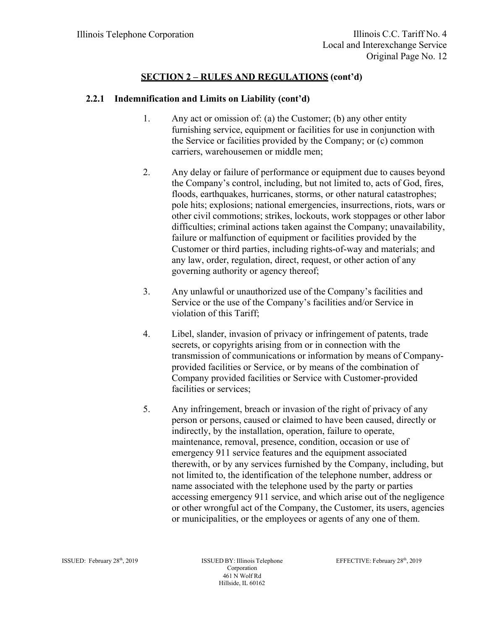- 1. Any act or omission of: (a) the Customer; (b) any other entity furnishing service, equipment or facilities for use in conjunction with the Service or facilities provided by the Company; or (c) common carriers, warehousemen or middle men;
- 2. Any delay or failure of performance or equipment due to causes beyond the Company's control, including, but not limited to, acts of God, fires, floods, earthquakes, hurricanes, storms, or other natural catastrophes; pole hits; explosions; national emergencies, insurrections, riots, wars or other civil commotions; strikes, lockouts, work stoppages or other labor difficulties; criminal actions taken against the Company; unavailability, failure or malfunction of equipment or facilities provided by the Customer or third parties, including rights-of-way and materials; and any law, order, regulation, direct, request, or other action of any governing authority or agency thereof;
- 3. Any unlawful or unauthorized use of the Company's facilities and Service or the use of the Company's facilities and/or Service in violation of this Tariff;
- 4. Libel, slander, invasion of privacy or infringement of patents, trade secrets, or copyrights arising from or in connection with the transmission of communications or information by means of Companyprovided facilities or Service, or by means of the combination of Company provided facilities or Service with Customer-provided facilities or services;
- 5. Any infringement, breach or invasion of the right of privacy of any person or persons, caused or claimed to have been caused, directly or indirectly, by the installation, operation, failure to operate, maintenance, removal, presence, condition, occasion or use of emergency 911 service features and the equipment associated therewith, or by any services furnished by the Company, including, but not limited to, the identification of the telephone number, address or name associated with the telephone used by the party or parties accessing emergency 911 service, and which arise out of the negligence or other wrongful act of the Company, the Customer, its users, agencies or municipalities, or the employees or agents of any one of them.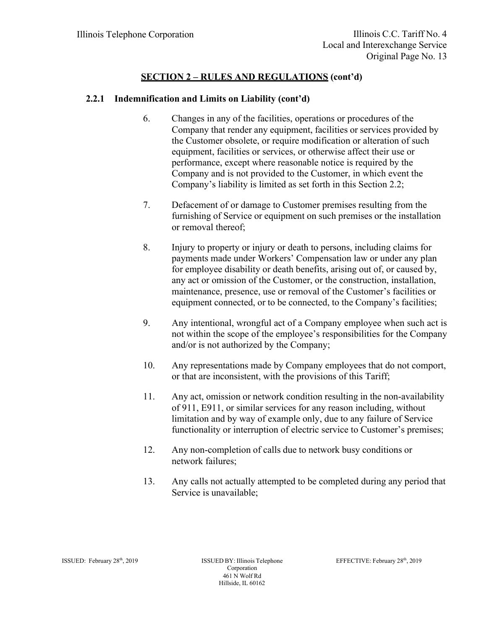- 6. Changes in any of the facilities, operations or procedures of the Company that render any equipment, facilities or services provided by the Customer obsolete, or require modification or alteration of such equipment, facilities or services, or otherwise affect their use or performance, except where reasonable notice is required by the Company and is not provided to the Customer, in which event the Company's liability is limited as set forth in this Section 2.2;
- 7. Defacement of or damage to Customer premises resulting from the furnishing of Service or equipment on such premises or the installation or removal thereof;
- 8. Injury to property or injury or death to persons, including claims for payments made under Workers' Compensation law or under any plan for employee disability or death benefits, arising out of, or caused by, any act or omission of the Customer, or the construction, installation, maintenance, presence, use or removal of the Customer's facilities or equipment connected, or to be connected, to the Company's facilities;
- 9. Any intentional, wrongful act of a Company employee when such act is not within the scope of the employee's responsibilities for the Company and/or is not authorized by the Company;
- 10. Any representations made by Company employees that do not comport, or that are inconsistent, with the provisions of this Tariff;
- 11. Any act, omission or network condition resulting in the non-availability of 911, E911, or similar services for any reason including, without limitation and by way of example only, due to any failure of Service functionality or interruption of electric service to Customer's premises;
- 12. Any non-completion of calls due to network busy conditions or network failures;
- 13. Any calls not actually attempted to be completed during any period that Service is unavailable;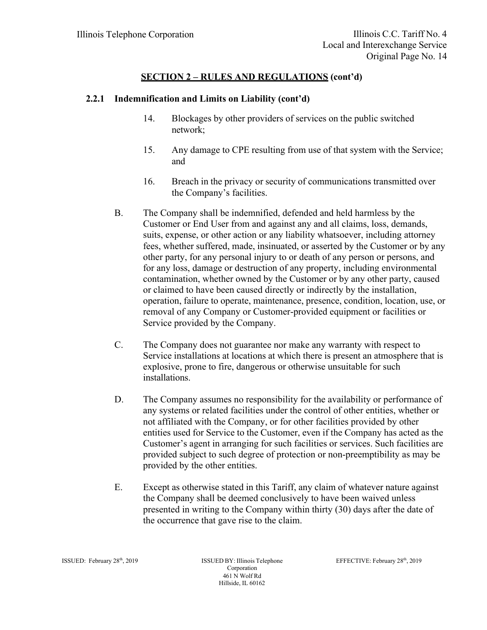- 14. Blockages by other providers of services on the public switched network;
- 15. Any damage to CPE resulting from use of that system with the Service; and
- 16. Breach in the privacy or security of communications transmitted over the Company's facilities.
- B. The Company shall be indemnified, defended and held harmless by the Customer or End User from and against any and all claims, loss, demands, suits, expense, or other action or any liability whatsoever, including attorney fees, whether suffered, made, insinuated, or asserted by the Customer or by any other party, for any personal injury to or death of any person or persons, and for any loss, damage or destruction of any property, including environmental contamination, whether owned by the Customer or by any other party, caused or claimed to have been caused directly or indirectly by the installation, operation, failure to operate, maintenance, presence, condition, location, use, or removal of any Company or Customer-provided equipment or facilities or Service provided by the Company.
- C. The Company does not guarantee nor make any warranty with respect to Service installations at locations at which there is present an atmosphere that is explosive, prone to fire, dangerous or otherwise unsuitable for such installations.
- D. The Company assumes no responsibility for the availability or performance of any systems or related facilities under the control of other entities, whether or not affiliated with the Company, or for other facilities provided by other entities used for Service to the Customer, even if the Company has acted as the Customer's agent in arranging for such facilities or services. Such facilities are provided subject to such degree of protection or non-preemptibility as may be provided by the other entities.
- E. Except as otherwise stated in this Tariff, any claim of whatever nature against the Company shall be deemed conclusively to have been waived unless presented in writing to the Company within thirty (30) days after the date of the occurrence that gave rise to the claim.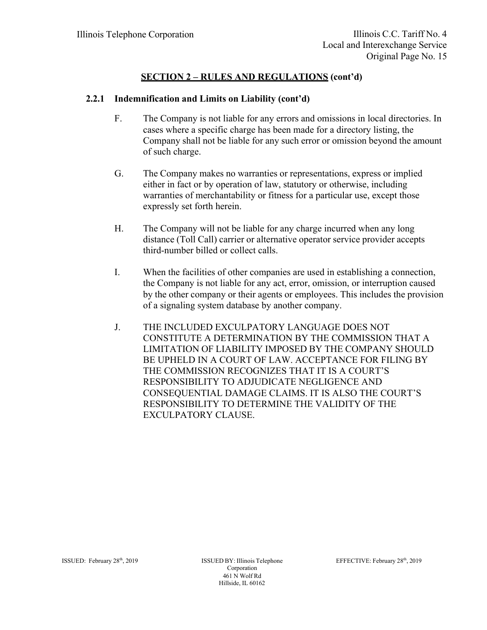- F. The Company is not liable for any errors and omissions in local directories. In cases where a specific charge has been made for a directory listing, the Company shall not be liable for any such error or omission beyond the amount of such charge.
- G. The Company makes no warranties or representations, express or implied either in fact or by operation of law, statutory or otherwise, including warranties of merchantability or fitness for a particular use, except those expressly set forth herein.
- H. The Company will not be liable for any charge incurred when any long distance (Toll Call) carrier or alternative operator service provider accepts third-number billed or collect calls.
- I. When the facilities of other companies are used in establishing a connection, the Company is not liable for any act, error, omission, or interruption caused by the other company or their agents or employees. This includes the provision of a signaling system database by another company.
- J. THE INCLUDED EXCULPATORY LANGUAGE DOES NOT CONSTITUTE A DETERMINATION BY THE COMMISSION THAT A LIMITATION OF LIABILITY IMPOSED BY THE COMPANY SHOULD BE UPHELD IN A COURT OF LAW. ACCEPTANCE FOR FILING BY THE COMMISSION RECOGNIZES THAT IT IS A COURT'S RESPONSIBILITY TO ADJUDICATE NEGLIGENCE AND CONSEQUENTIAL DAMAGE CLAIMS. IT IS ALSO THE COURT'S RESPONSIBILITY TO DETERMINE THE VALIDITY OF THE EXCULPATORY CLAUSE.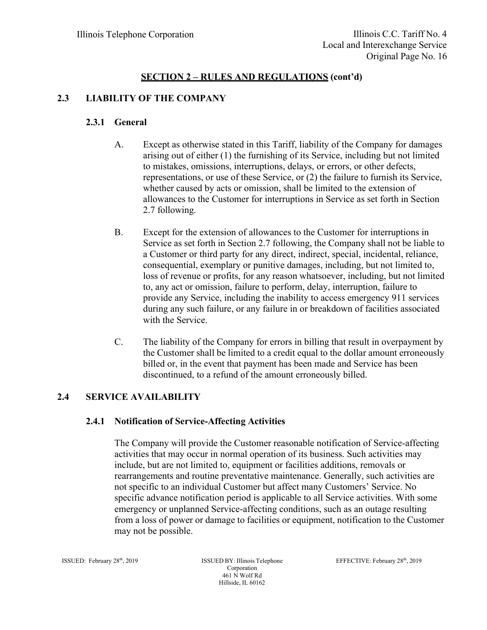# **2.3 LIABILITY OF THE COMPANY**

## **2.3.1 General**

- A. Except as otherwise stated in this Tariff, liability of the Company for damages arising out of either (1) the furnishing of its Service, including but not limited to mistakes, omissions, interruptions, delays, or errors, or other defects, representations, or use of these Service, or (2) the failure to furnish its Service, whether caused by acts or omission, shall be limited to the extension of allowances to the Customer for interruptions in Service as set forth in Section 2.7 following.
- B. Except for the extension of allowances to the Customer for interruptions in Service as set forth in Section 2.7 following, the Company shall not be liable to a Customer or third party for any direct, indirect, special, incidental, reliance, consequential, exemplary or punitive damages, including, but not limited to, loss of revenue or profits, for any reason whatsoever, including, but not limited to, any act or omission, failure to perform, delay, interruption, failure to provide any Service, including the inability to access emergency 911 services during any such failure, or any failure in or breakdown of facilities associated with the Service.
- C. The liability of the Company for errors in billing that result in overpayment by the Customer shall be limited to a credit equal to the dollar amount erroneously billed or, in the event that payment has been made and Service has been discontinued, to a refund of the amount erroneously billed.

## **2.4 SERVICE AVAILABILITY**

## **2.4.1 Notification of Service-Affecting Activities**

The Company will provide the Customer reasonable notification of Service-affecting activities that may occur in normal operation of its business. Such activities may include, but are not limited to, equipment or facilities additions, removals or rearrangements and routine preventative maintenance. Generally, such activities are not specific to an individual Customer but affect many Customers' Service. No specific advance notification period is applicable to all Service activities. With some emergency or unplanned Service-affecting conditions, such as an outage resulting from a loss of power or damage to facilities or equipment, notification to the Customer may not be possible.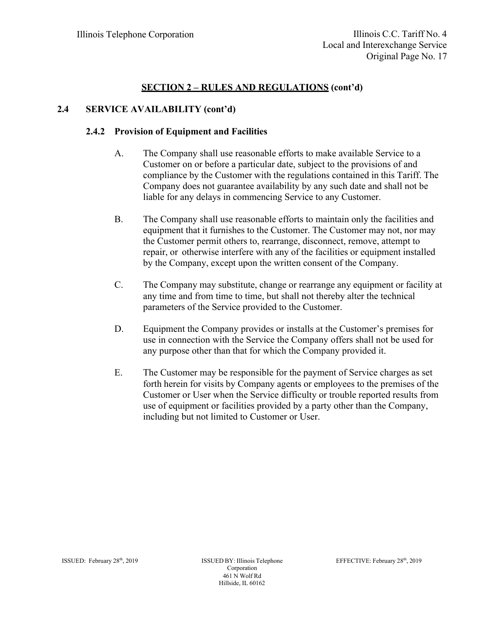# **2.4 SERVICE AVAILABILITY (cont'd)**

## **2.4.2 Provision of Equipment and Facilities**

- A. The Company shall use reasonable efforts to make available Service to a Customer on or before a particular date, subject to the provisions of and compliance by the Customer with the regulations contained in this Tariff. The Company does not guarantee availability by any such date and shall not be liable for any delays in commencing Service to any Customer.
- B. The Company shall use reasonable efforts to maintain only the facilities and equipment that it furnishes to the Customer. The Customer may not, nor may the Customer permit others to, rearrange, disconnect, remove, attempt to repair, or otherwise interfere with any of the facilities or equipment installed by the Company, except upon the written consent of the Company.
- C. The Company may substitute, change or rearrange any equipment or facility at any time and from time to time, but shall not thereby alter the technical parameters of the Service provided to the Customer.
- D. Equipment the Company provides or installs at the Customer's premises for use in connection with the Service the Company offers shall not be used for any purpose other than that for which the Company provided it.
- E. The Customer may be responsible for the payment of Service charges as set forth herein for visits by Company agents or employees to the premises of the Customer or User when the Service difficulty or trouble reported results from use of equipment or facilities provided by a party other than the Company, including but not limited to Customer or User.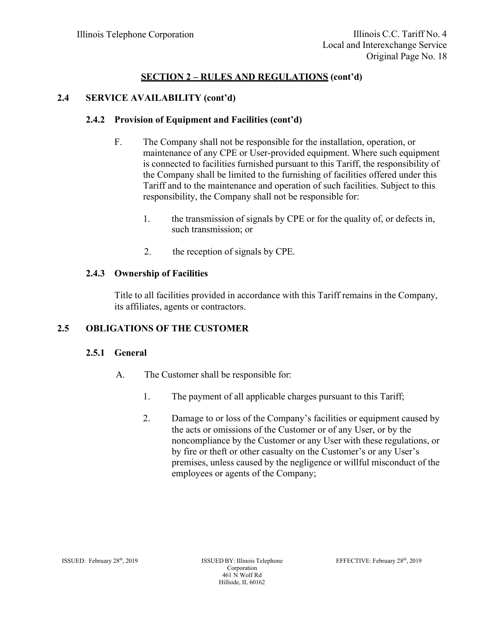## **2.4 SERVICE AVAILABILITY (cont'd)**

## **2.4.2 Provision of Equipment and Facilities (cont'd)**

- F. The Company shall not be responsible for the installation, operation, or maintenance of any CPE or User-provided equipment. Where such equipment is connected to facilities furnished pursuant to this Tariff, the responsibility of the Company shall be limited to the furnishing of facilities offered under this Tariff and to the maintenance and operation of such facilities. Subject to this responsibility, the Company shall not be responsible for:
	- 1. the transmission of signals by CPE or for the quality of, or defects in, such transmission; or
	- 2. the reception of signals by CPE.

# **2.4.3 Ownership of Facilities**

Title to all facilities provided in accordance with this Tariff remains in the Company, its affiliates, agents or contractors.

# **2.5 OBLIGATIONS OF THE CUSTOMER**

## **2.5.1 General**

- A. The Customer shall be responsible for:
	- 1. The payment of all applicable charges pursuant to this Tariff;
	- 2. Damage to or loss of the Company's facilities or equipment caused by the acts or omissions of the Customer or of any User, or by the noncompliance by the Customer or any User with these regulations, or by fire or theft or other casualty on the Customer's or any User's premises, unless caused by the negligence or willful misconduct of the employees or agents of the Company;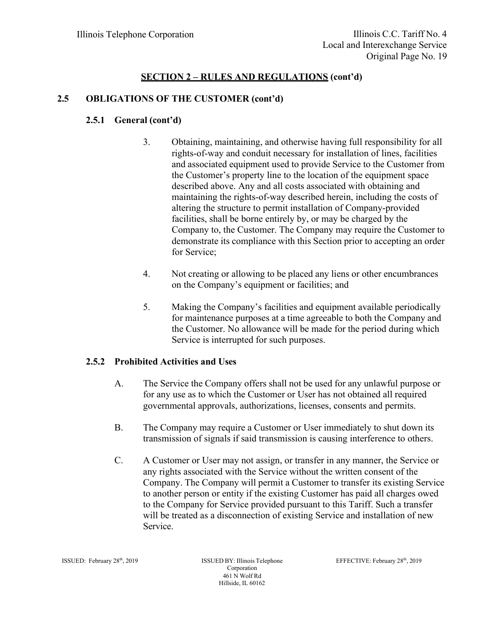## **2.5 OBLIGATIONS OF THE CUSTOMER (cont'd)**

#### **2.5.1 General (cont'd)**

- 3. Obtaining, maintaining, and otherwise having full responsibility for all rights-of-way and conduit necessary for installation of lines, facilities and associated equipment used to provide Service to the Customer from the Customer's property line to the location of the equipment space described above. Any and all costs associated with obtaining and maintaining the rights-of-way described herein, including the costs of altering the structure to permit installation of Company-provided facilities, shall be borne entirely by, or may be charged by the Company to, the Customer. The Company may require the Customer to demonstrate its compliance with this Section prior to accepting an order for Service;
- 4. Not creating or allowing to be placed any liens or other encumbrances on the Company's equipment or facilities; and
- 5. Making the Company's facilities and equipment available periodically for maintenance purposes at a time agreeable to both the Company and the Customer. No allowance will be made for the period during which Service is interrupted for such purposes.

#### **2.5.2 Prohibited Activities and Uses**

- A. The Service the Company offers shall not be used for any unlawful purpose or for any use as to which the Customer or User has not obtained all required governmental approvals, authorizations, licenses, consents and permits.
- B. The Company may require a Customer or User immediately to shut down its transmission of signals if said transmission is causing interference to others.
- C. A Customer or User may not assign, or transfer in any manner, the Service or any rights associated with the Service without the written consent of the Company. The Company will permit a Customer to transfer its existing Service to another person or entity if the existing Customer has paid all charges owed to the Company for Service provided pursuant to this Tariff. Such a transfer will be treated as a disconnection of existing Service and installation of new Service.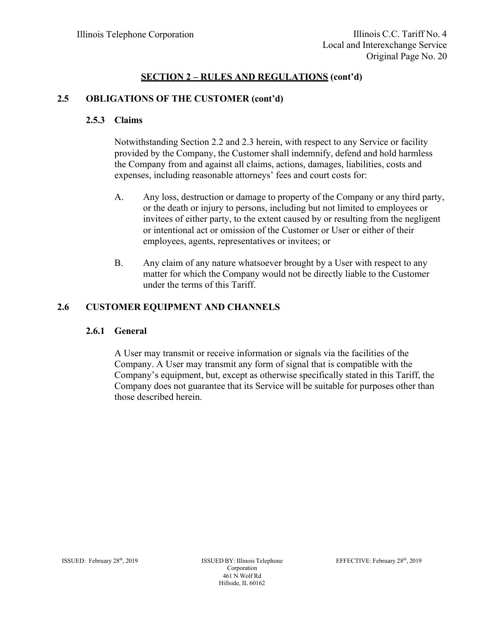# **2.5 OBLIGATIONS OF THE CUSTOMER (cont'd)**

#### **2.5.3 Claims**

Notwithstanding Section 2.2 and 2.3 herein, with respect to any Service or facility provided by the Company, the Customer shall indemnify, defend and hold harmless the Company from and against all claims, actions, damages, liabilities, costs and expenses, including reasonable attorneys' fees and court costs for:

- A. Any loss, destruction or damage to property of the Company or any third party, or the death or injury to persons, including but not limited to employees or invitees of either party, to the extent caused by or resulting from the negligent or intentional act or omission of the Customer or User or either of their employees, agents, representatives or invitees; or
- B. Any claim of any nature whatsoever brought by a User with respect to any matter for which the Company would not be directly liable to the Customer under the terms of this Tariff.

## **2.6 CUSTOMER EQUIPMENT AND CHANNELS**

## **2.6.1 General**

A User may transmit or receive information or signals via the facilities of the Company. A User may transmit any form of signal that is compatible with the Company's equipment, but, except as otherwise specifically stated in this Tariff, the Company does not guarantee that its Service will be suitable for purposes other than those described herein.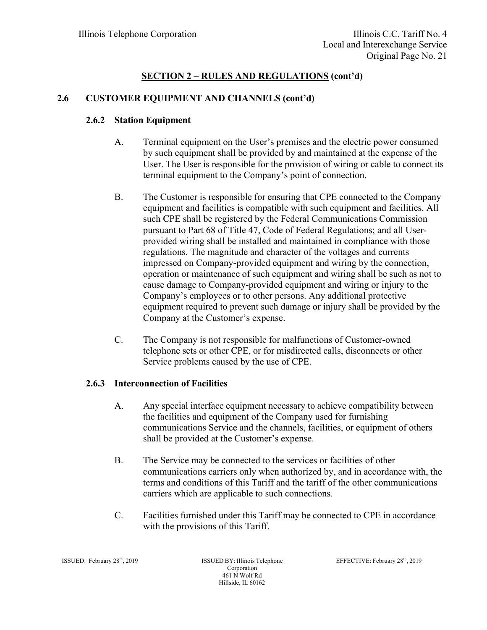# **2.6 CUSTOMER EQUIPMENT AND CHANNELS (cont'd)**

# **2.6.2 Station Equipment**

- A. Terminal equipment on the User's premises and the electric power consumed by such equipment shall be provided by and maintained at the expense of the User. The User is responsible for the provision of wiring or cable to connect its terminal equipment to the Company's point of connection.
- B. The Customer is responsible for ensuring that CPE connected to the Company equipment and facilities is compatible with such equipment and facilities. All such CPE shall be registered by the Federal Communications Commission pursuant to Part 68 of Title 47, Code of Federal Regulations; and all Userprovided wiring shall be installed and maintained in compliance with those regulations. The magnitude and character of the voltages and currents impressed on Company-provided equipment and wiring by the connection, operation or maintenance of such equipment and wiring shall be such as not to cause damage to Company-provided equipment and wiring or injury to the Company's employees or to other persons. Any additional protective equipment required to prevent such damage or injury shall be provided by the Company at the Customer's expense.
- C. The Company is not responsible for malfunctions of Customer-owned telephone sets or other CPE, or for misdirected calls, disconnects or other Service problems caused by the use of CPE.

## **2.6.3 Interconnection of Facilities**

- A. Any special interface equipment necessary to achieve compatibility between the facilities and equipment of the Company used for furnishing communications Service and the channels, facilities, or equipment of others shall be provided at the Customer's expense.
- B. The Service may be connected to the services or facilities of other communications carriers only when authorized by, and in accordance with, the terms and conditions of this Tariff and the tariff of the other communications carriers which are applicable to such connections.
- C. Facilities furnished under this Tariff may be connected to CPE in accordance with the provisions of this Tariff.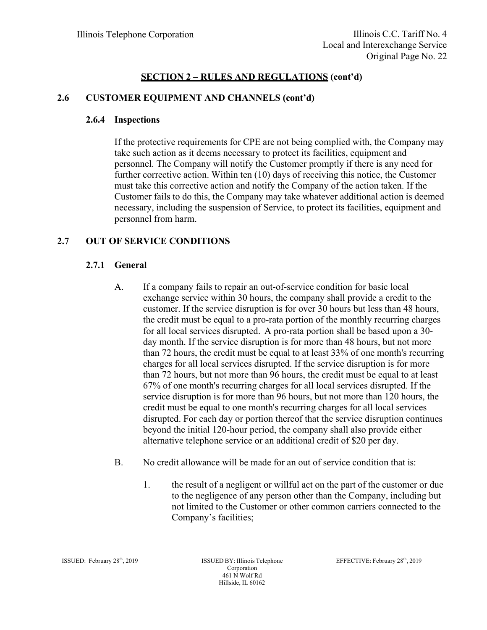# **2.6 CUSTOMER EQUIPMENT AND CHANNELS (cont'd)**

#### **2.6.4 Inspections**

If the protective requirements for CPE are not being complied with, the Company may take such action as it deems necessary to protect its facilities, equipment and personnel. The Company will notify the Customer promptly if there is any need for further corrective action. Within ten (10) days of receiving this notice, the Customer must take this corrective action and notify the Company of the action taken. If the Customer fails to do this, the Company may take whatever additional action is deemed necessary, including the suspension of Service, to protect its facilities, equipment and personnel from harm.

## **2.7 OUT OF SERVICE CONDITIONS**

#### **2.7.1 General**

- A. If a company fails to repair an out-of-service condition for basic local exchange service within 30 hours, the company shall provide a credit to the customer. If the service disruption is for over 30 hours but less than 48 hours, the credit must be equal to a pro-rata portion of the monthly recurring charges for all local services disrupted. A pro-rata portion shall be based upon a 30 day month. If the service disruption is for more than 48 hours, but not more than 72 hours, the credit must be equal to at least 33% of one month's recurring charges for all local services disrupted. If the service disruption is for more than 72 hours, but not more than 96 hours, the credit must be equal to at least 67% of one month's recurring charges for all local services disrupted. If the service disruption is for more than 96 hours, but not more than 120 hours, the credit must be equal to one month's recurring charges for all local services disrupted. For each day or portion thereof that the service disruption continues beyond the initial 120-hour period, the company shall also provide either alternative telephone service or an additional credit of \$20 per day.
- B. No credit allowance will be made for an out of service condition that is:
	- 1. the result of a negligent or willful act on the part of the customer or due to the negligence of any person other than the Company, including but not limited to the Customer or other common carriers connected to the Company's facilities;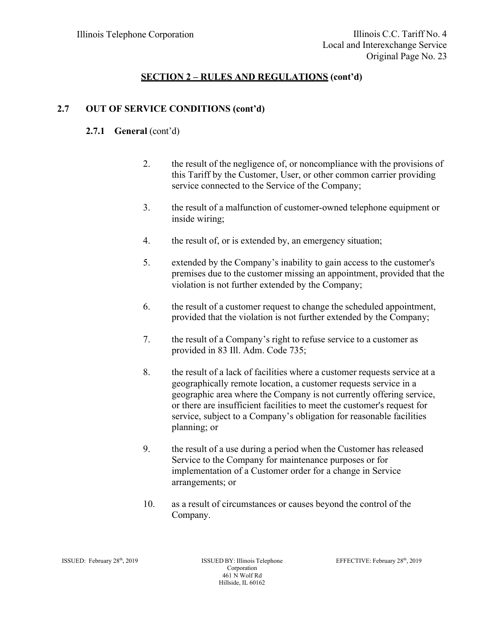# **2.7 OUT OF SERVICE CONDITIONS (cont'd)**

# **2.7.1 General** (cont'd)

- 2. the result of the negligence of, or noncompliance with the provisions of this Tariff by the Customer, User, or other common carrier providing service connected to the Service of the Company;
- 3. the result of a malfunction of customer-owned telephone equipment or inside wiring;
- 4. the result of, or is extended by, an emergency situation;
- 5. extended by the Company's inability to gain access to the customer's premises due to the customer missing an appointment, provided that the violation is not further extended by the Company;
- 6. the result of a customer request to change the scheduled appointment, provided that the violation is not further extended by the Company;
- 7. the result of a Company's right to refuse service to a customer as provided in 83 Ill. Adm. Code 735;
- 8. the result of a lack of facilities where a customer requests service at a geographically remote location, a customer requests service in a geographic area where the Company is not currently offering service, or there are insufficient facilities to meet the customer's request for service, subject to a Company's obligation for reasonable facilities planning; or
- 9. the result of a use during a period when the Customer has released Service to the Company for maintenance purposes or for implementation of a Customer order for a change in Service arrangements; or
- 10. as a result of circumstances or causes beyond the control of the Company.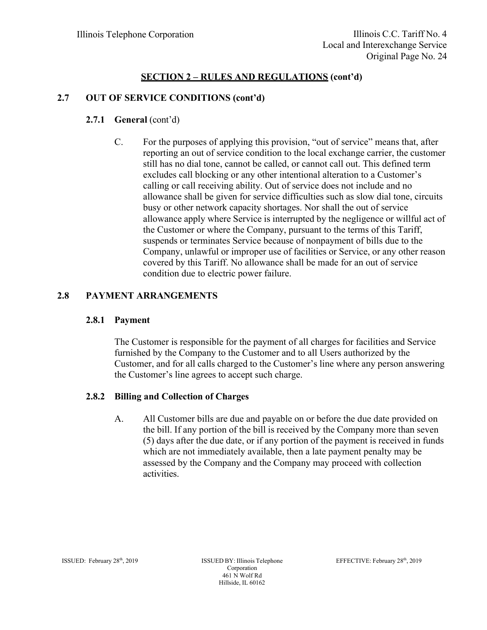## **2.7 OUT OF SERVICE CONDITIONS (cont'd)**

## **2.7.1 <b>General** (cont'd)

C. For the purposes of applying this provision, "out of service" means that, after reporting an out of service condition to the local exchange carrier, the customer still has no dial tone, cannot be called, or cannot call out. This defined term excludes call blocking or any other intentional alteration to a Customer's calling or call receiving ability. Out of service does not include and no allowance shall be given for service difficulties such as slow dial tone, circuits busy or other network capacity shortages. Nor shall the out of service allowance apply where Service is interrupted by the negligence or willful act of the Customer or where the Company, pursuant to the terms of this Tariff, suspends or terminates Service because of nonpayment of bills due to the Company, unlawful or improper use of facilities or Service, or any other reason covered by this Tariff. No allowance shall be made for an out of service condition due to electric power failure.

#### **2.8 PAYMENT ARRANGEMENTS**

#### **2.8.1 Payment**

The Customer is responsible for the payment of all charges for facilities and Service furnished by the Company to the Customer and to all Users authorized by the Customer, and for all calls charged to the Customer's line where any person answering the Customer's line agrees to accept such charge.

#### **2.8.2 Billing and Collection of Charges**

A. All Customer bills are due and payable on or before the due date provided on the bill. If any portion of the bill is received by the Company more than seven (5) days after the due date, or if any portion of the payment is received in funds which are not immediately available, then a late payment penalty may be assessed by the Company and the Company may proceed with collection activities.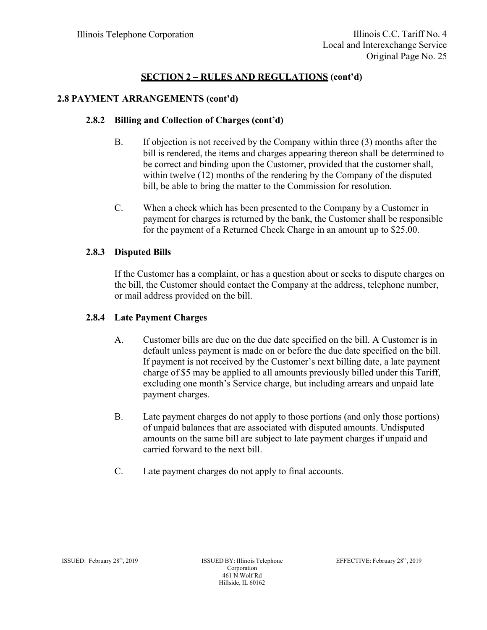# **2.8 PAYMENT ARRANGEMENTS (cont'd)**

# **2.8.2 Billing and Collection of Charges (cont'd)**

- B. If objection is not received by the Company within three (3) months after the bill is rendered, the items and charges appearing thereon shall be determined to be correct and binding upon the Customer, provided that the customer shall, within twelve (12) months of the rendering by the Company of the disputed bill, be able to bring the matter to the Commission for resolution.
- C. When a check which has been presented to the Company by a Customer in payment for charges is returned by the bank, the Customer shall be responsible for the payment of a Returned Check Charge in an amount up to \$25.00.

## **2.8.3 Disputed Bills**

If the Customer has a complaint, or has a question about or seeks to dispute charges on the bill, the Customer should contact the Company at the address, telephone number, or mail address provided on the bill.

## **2.8.4 Late Payment Charges**

- A. Customer bills are due on the due date specified on the bill. A Customer is in default unless payment is made on or before the due date specified on the bill. If payment is not received by the Customer's next billing date, a late payment charge of \$5 may be applied to all amounts previously billed under this Tariff, excluding one month's Service charge, but including arrears and unpaid late payment charges.
- B. Late payment charges do not apply to those portions (and only those portions) of unpaid balances that are associated with disputed amounts. Undisputed amounts on the same bill are subject to late payment charges if unpaid and carried forward to the next bill.
- C. Late payment charges do not apply to final accounts.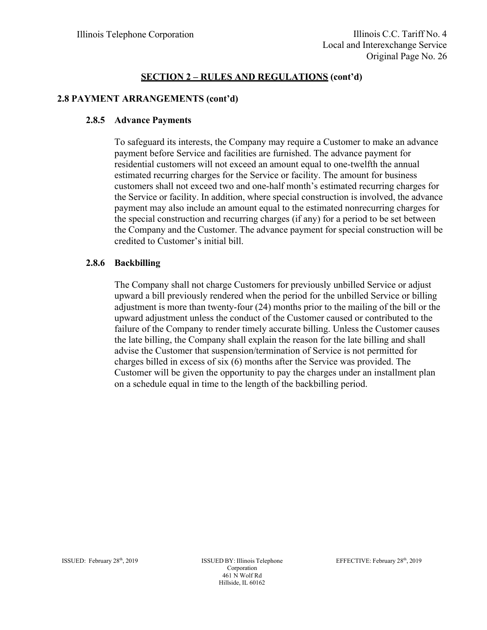## **2.8 PAYMENT ARRANGEMENTS (cont'd)**

#### **2.8.5 Advance Payments**

To safeguard its interests, the Company may require a Customer to make an advance payment before Service and facilities are furnished. The advance payment for residential customers will not exceed an amount equal to one-twelfth the annual estimated recurring charges for the Service or facility. The amount for business customers shall not exceed two and one-half month's estimated recurring charges for the Service or facility. In addition, where special construction is involved, the advance payment may also include an amount equal to the estimated nonrecurring charges for the special construction and recurring charges (if any) for a period to be set between the Company and the Customer. The advance payment for special construction will be credited to Customer's initial bill.

#### **2.8.6 Backbilling**

The Company shall not charge Customers for previously unbilled Service or adjust upward a bill previously rendered when the period for the unbilled Service or billing adjustment is more than twenty-four (24) months prior to the mailing of the bill or the upward adjustment unless the conduct of the Customer caused or contributed to the failure of the Company to render timely accurate billing. Unless the Customer causes the late billing, the Company shall explain the reason for the late billing and shall advise the Customer that suspension/termination of Service is not permitted for charges billed in excess of six (6) months after the Service was provided. The Customer will be given the opportunity to pay the charges under an installment plan on a schedule equal in time to the length of the backbilling period.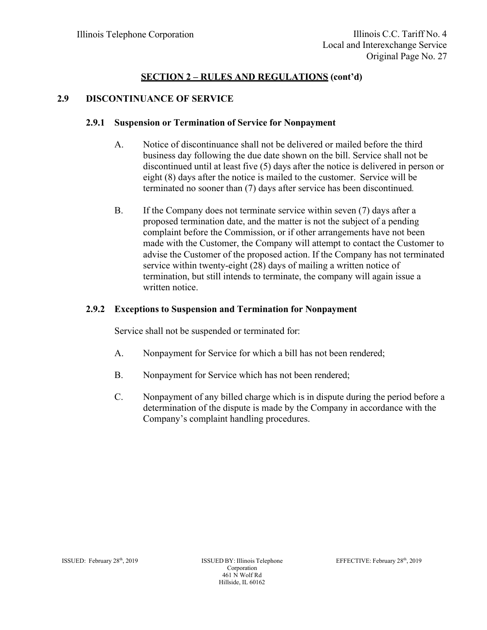## **2.9 DISCONTINUANCE OF SERVICE**

#### **2.9.1 Suspension or Termination of Service for Nonpayment**

- A. Notice of discontinuance shall not be delivered or mailed before the third business day following the due date shown on the bill. Service shall not be discontinued until at least five (5) days after the notice is delivered in person or eight (8) days after the notice is mailed to the customer. Service will be terminated no sooner than (7) days after service has been discontinued.
- B. If the Company does not terminate service within seven (7) days after a proposed termination date, and the matter is not the subject of a pending complaint before the Commission, or if other arrangements have not been made with the Customer, the Company will attempt to contact the Customer to advise the Customer of the proposed action. If the Company has not terminated service within twenty-eight (28) days of mailing a written notice of termination, but still intends to terminate, the company will again issue a written notice.

## **2.9.2 Exceptions to Suspension and Termination for Nonpayment**

Service shall not be suspended or terminated for:

- A. Nonpayment for Service for which a bill has not been rendered;
- B. Nonpayment for Service which has not been rendered;
- C. Nonpayment of any billed charge which is in dispute during the period before a determination of the dispute is made by the Company in accordance with the Company's complaint handling procedures.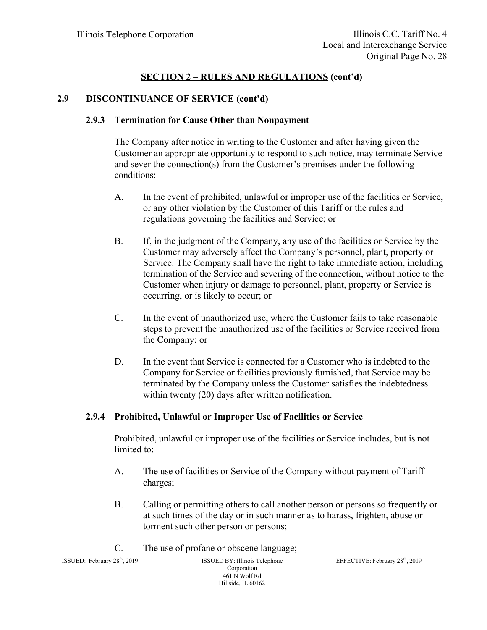#### **2.9 DISCONTINUANCE OF SERVICE (cont'd)**

#### **2.9.3 Termination for Cause Other than Nonpayment**

The Company after notice in writing to the Customer and after having given the Customer an appropriate opportunity to respond to such notice, may terminate Service and sever the connection(s) from the Customer's premises under the following conditions:

- A. In the event of prohibited, unlawful or improper use of the facilities or Service, or any other violation by the Customer of this Tariff or the rules and regulations governing the facilities and Service; or
- B. If, in the judgment of the Company, any use of the facilities or Service by the Customer may adversely affect the Company's personnel, plant, property or Service. The Company shall have the right to take immediate action, including termination of the Service and severing of the connection, without notice to the Customer when injury or damage to personnel, plant, property or Service is occurring, or is likely to occur; or
- C. In the event of unauthorized use, where the Customer fails to take reasonable steps to prevent the unauthorized use of the facilities or Service received from the Company; or
- D. In the event that Service is connected for a Customer who is indebted to the Company for Service or facilities previously furnished, that Service may be terminated by the Company unless the Customer satisfies the indebtedness within twenty (20) days after written notification.

## **2.9.4 Prohibited, Unlawful or Improper Use of Facilities or Service**

Prohibited, unlawful or improper use of the facilities or Service includes, but is not limited to:

- A. The use of facilities or Service of the Company without payment of Tariff charges;
- B. Calling or permitting others to call another person or persons so frequently or at such times of the day or in such manner as to harass, frighten, abuse or torment such other person or persons;
- C. The use of profane or obscene language;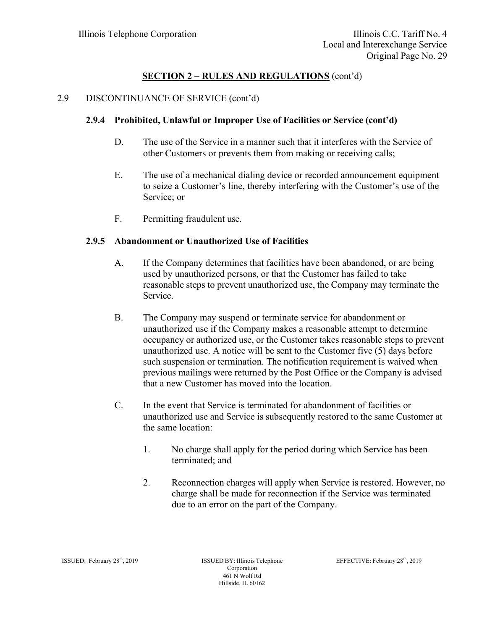#### 2.9 DISCONTINUANCE OF SERVICE (cont'd)

#### **2.9.4 Prohibited, Unlawful or Improper Use of Facilities or Service (cont'd)**

- D. The use of the Service in a manner such that it interferes with the Service of other Customers or prevents them from making or receiving calls;
- E. The use of a mechanical dialing device or recorded announcement equipment to seize a Customer's line, thereby interfering with the Customer's use of the Service; or
- F. Permitting fraudulent use.

#### **2.9.5 Abandonment or Unauthorized Use of Facilities**

- A. If the Company determines that facilities have been abandoned, or are being used by unauthorized persons, or that the Customer has failed to take reasonable steps to prevent unauthorized use, the Company may terminate the Service.
- B. The Company may suspend or terminate service for abandonment or unauthorized use if the Company makes a reasonable attempt to determine occupancy or authorized use, or the Customer takes reasonable steps to prevent unauthorized use. A notice will be sent to the Customer five (5) days before such suspension or termination. The notification requirement is waived when previous mailings were returned by the Post Office or the Company is advised that a new Customer has moved into the location.
- C. In the event that Service is terminated for abandonment of facilities or unauthorized use and Service is subsequently restored to the same Customer at the same location:
	- 1. No charge shall apply for the period during which Service has been terminated; and
	- 2. Reconnection charges will apply when Service is restored. However, no charge shall be made for reconnection if the Service was terminated due to an error on the part of the Company.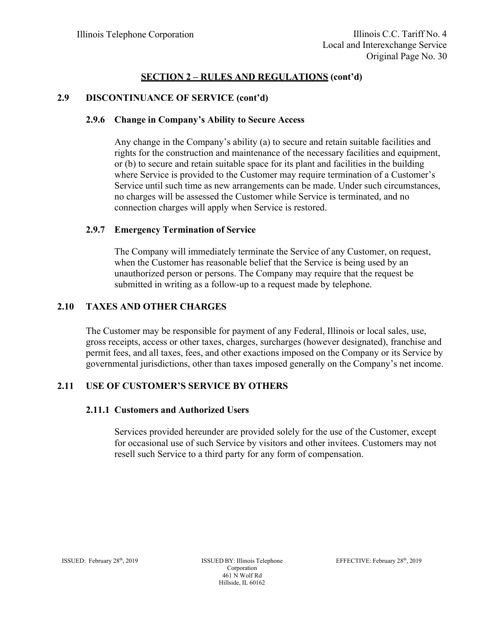## **2.9 DISCONTINUANCE OF SERVICE (cont'd)**

#### **2.9.6 Change in Company's Ability to Secure Access**

Any change in the Company's ability (a) to secure and retain suitable facilities and rights for the construction and maintenance of the necessary facilities and equipment, or (b) to secure and retain suitable space for its plant and facilities in the building where Service is provided to the Customer may require termination of a Customer's Service until such time as new arrangements can be made. Under such circumstances, no charges will be assessed the Customer while Service is terminated, and no connection charges will apply when Service is restored.

## **2.9.7 Emergency Termination of Service**

The Company will immediately terminate the Service of any Customer, on request, when the Customer has reasonable belief that the Service is being used by an unauthorized person or persons. The Company may require that the request be submitted in writing as a follow-up to a request made by telephone.

## **2.10 TAXES AND OTHER CHARGES**

The Customer may be responsible for payment of any Federal, Illinois or local sales, use, gross receipts, access or other taxes, charges, surcharges (however designated), franchise and permit fees, and all taxes, fees, and other exactions imposed on the Company or its Service by governmental jurisdictions, other than taxes imposed generally on the Company's net income.

# **2.11 USE OF CUSTOMER'S SERVICE BY OTHERS**

#### **2.11.1 Customers and Authorized Users**

Services provided hereunder are provided solely for the use of the Customer, except for occasional use of such Service by visitors and other invitees. Customers may not resell such Service to a third party for any form of compensation.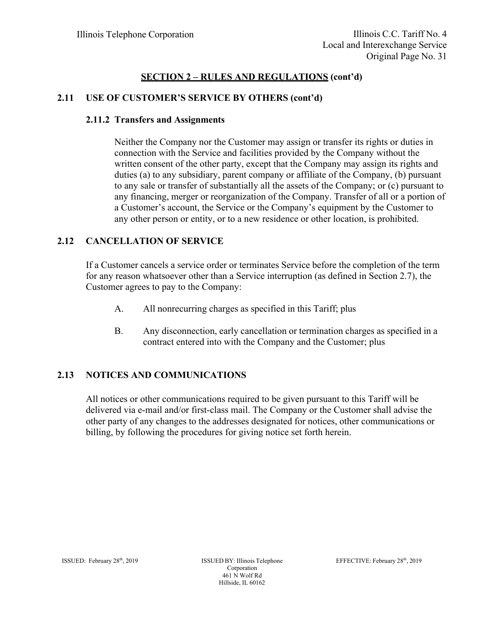#### **2.11 USE OF CUSTOMER'S SERVICE BY OTHERS (cont'd)**

#### **2.11.2 Transfers and Assignments**

Neither the Company nor the Customer may assign or transfer its rights or duties in connection with the Service and facilities provided by the Company without the written consent of the other party, except that the Company may assign its rights and duties (a) to any subsidiary, parent company or affiliate of the Company, (b) pursuant to any sale or transfer of substantially all the assets of the Company; or (c) pursuant to any financing, merger or reorganization of the Company. Transfer of all or a portion of a Customer's account, the Service or the Company's equipment by the Customer to any other person or entity, or to a new residence or other location, is prohibited.

#### **2.12 CANCELLATION OF SERVICE**

If a Customer cancels a service order or terminates Service before the completion of the term for any reason whatsoever other than a Service interruption (as defined in Section 2.7), the Customer agrees to pay to the Company:

- A. All nonrecurring charges as specified in this Tariff; plus
- B. Any disconnection, early cancellation or termination charges as specified in a contract entered into with the Company and the Customer; plus

## **2.13 NOTICES AND COMMUNICATIONS**

All notices or other communications required to be given pursuant to this Tariff will be delivered via e-mail and/or first-class mail. The Company or the Customer shall advise the other party of any changes to the addresses designated for notices, other communications or billing, by following the procedures for giving notice set forth herein.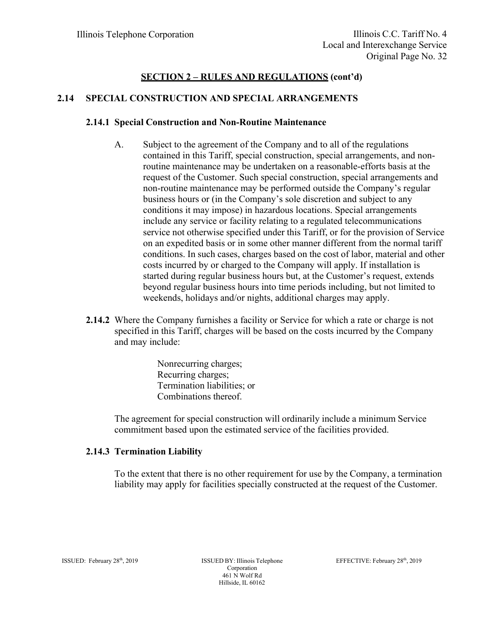## **2.14 SPECIAL CONSTRUCTION AND SPECIAL ARRANGEMENTS**

#### **2.14.1 Special Construction and Non-Routine Maintenance**

- A. Subject to the agreement of the Company and to all of the regulations contained in this Tariff, special construction, special arrangements, and nonroutine maintenance may be undertaken on a reasonable-efforts basis at the request of the Customer. Such special construction, special arrangements and non-routine maintenance may be performed outside the Company's regular business hours or (in the Company's sole discretion and subject to any conditions it may impose) in hazardous locations. Special arrangements include any service or facility relating to a regulated telecommunications service not otherwise specified under this Tariff, or for the provision of Service on an expedited basis or in some other manner different from the normal tariff conditions. In such cases, charges based on the cost of labor, material and other costs incurred by or charged to the Company will apply. If installation is started during regular business hours but, at the Customer's request, extends beyond regular business hours into time periods including, but not limited to weekends, holidays and/or nights, additional charges may apply.
- **2.14.2** Where the Company furnishes a facility or Service for which a rate or charge is not specified in this Tariff, charges will be based on the costs incurred by the Company and may include:

 Nonrecurring charges; Recurring charges; Termination liabilities; or Combinations thereof.

The agreement for special construction will ordinarily include a minimum Service commitment based upon the estimated service of the facilities provided.

#### **2.14.3 Termination Liability**

To the extent that there is no other requirement for use by the Company, a termination liability may apply for facilities specially constructed at the request of the Customer.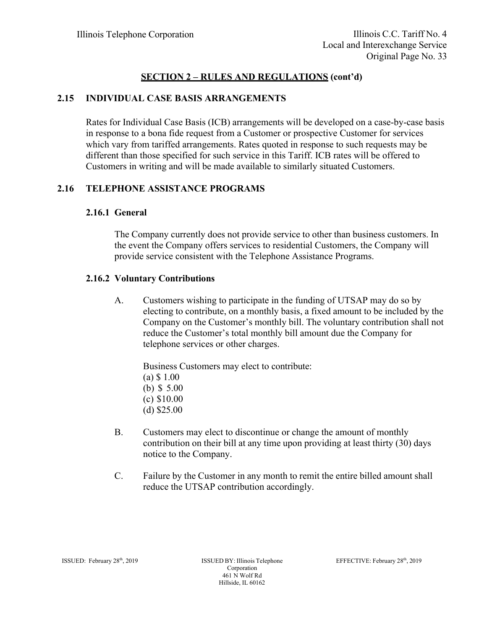## **2.15 INDIVIDUAL CASE BASIS ARRANGEMENTS**

Rates for Individual Case Basis (ICB) arrangements will be developed on a case-by-case basis in response to a bona fide request from a Customer or prospective Customer for services which vary from tariffed arrangements. Rates quoted in response to such requests may be different than those specified for such service in this Tariff. ICB rates will be offered to Customers in writing and will be made available to similarly situated Customers.

#### **2.16 TELEPHONE ASSISTANCE PROGRAMS**

#### **2.16.1 General**

The Company currently does not provide service to other than business customers. In the event the Company offers services to residential Customers, the Company will provide service consistent with the Telephone Assistance Programs.

#### **2.16.2 Voluntary Contributions**

A. Customers wishing to participate in the funding of UTSAP may do so by electing to contribute, on a monthly basis, a fixed amount to be included by the Company on the Customer's monthly bill. The voluntary contribution shall not reduce the Customer's total monthly bill amount due the Company for telephone services or other charges.

Business Customers may elect to contribute: (a) \$ 1.00 (b) \$ 5.00

- (c) \$10.00
- (d) \$25.00
- 
- B. Customers may elect to discontinue or change the amount of monthly contribution on their bill at any time upon providing at least thirty (30) days notice to the Company.
- C. Failure by the Customer in any month to remit the entire billed amount shall reduce the UTSAP contribution accordingly.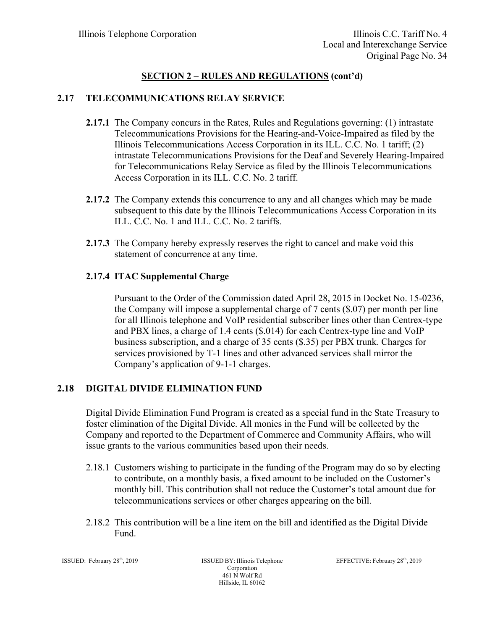# **2.17 TELECOMMUNICATIONS RELAY SERVICE**

- **2.17.1** The Company concurs in the Rates, Rules and Regulations governing: (1) intrastate Telecommunications Provisions for the Hearing-and-Voice-Impaired as filed by the Illinois Telecommunications Access Corporation in its ILL. C.C. No. 1 tariff; (2) intrastate Telecommunications Provisions for the Deaf and Severely Hearing-Impaired for Telecommunications Relay Service as filed by the Illinois Telecommunications Access Corporation in its ILL. C.C. No. 2 tariff.
- **2.17.2** The Company extends this concurrence to any and all changes which may be made subsequent to this date by the Illinois Telecommunications Access Corporation in its ILL. C.C. No. 1 and ILL. C.C. No. 2 tariffs.
- **2.17.3** The Company hereby expressly reserves the right to cancel and make void this statement of concurrence at any time.

# **2.17.4 ITAC Supplemental Charge**

Pursuant to the Order of the Commission dated April 28, 2015 in Docket No. 15-0236, the Company will impose a supplemental charge of 7 cents (\$.07) per month per line for all Illinois telephone and VoIP residential subscriber lines other than Centrex-type and PBX lines, a charge of 1.4 cents (\$.014) for each Centrex-type line and VoIP business subscription, and a charge of 35 cents (\$.35) per PBX trunk. Charges for services provisioned by T-1 lines and other advanced services shall mirror the Company's application of 9-1-1 charges.

## **2.18 DIGITAL DIVIDE ELIMINATION FUND**

Digital Divide Elimination Fund Program is created as a special fund in the State Treasury to foster elimination of the Digital Divide. All monies in the Fund will be collected by the Company and reported to the Department of Commerce and Community Affairs, who will issue grants to the various communities based upon their needs.

- 2.18.1 Customers wishing to participate in the funding of the Program may do so by electing to contribute, on a monthly basis, a fixed amount to be included on the Customer's monthly bill. This contribution shall not reduce the Customer's total amount due for telecommunications services or other charges appearing on the bill.
- 2.18.2 This contribution will be a line item on the bill and identified as the Digital Divide Fund.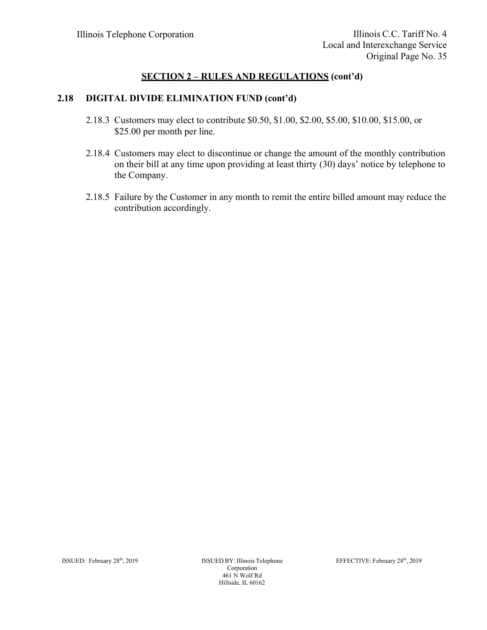#### **2.18 DIGITAL DIVIDE ELIMINATION FUND (cont'd)**

- 2.18.3 Customers may elect to contribute \$0.50, \$1.00, \$2.00, \$5.00, \$10.00, \$15.00, or \$25.00 per month per line.
- 2.18.4 Customers may elect to discontinue or change the amount of the monthly contribution on their bill at any time upon providing at least thirty (30) days' notice by telephone to the Company.
- 2.18.5 Failure by the Customer in any month to remit the entire billed amount may reduce the contribution accordingly.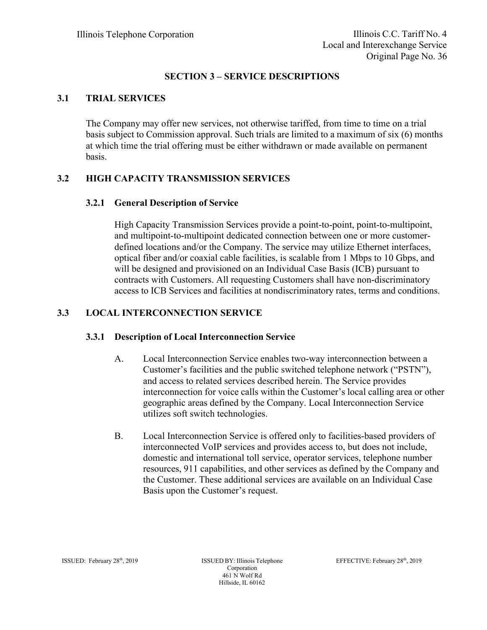## **SECTION 3 – SERVICE DESCRIPTIONS**

# **3.1 TRIAL SERVICES**

The Company may offer new services, not otherwise tariffed, from time to time on a trial basis subject to Commission approval. Such trials are limited to a maximum of six (6) months at which time the trial offering must be either withdrawn or made available on permanent basis.

# **3.2 HIGH CAPACITY TRANSMISSION SERVICES**

## **3.2.1 General Description of Service**

High Capacity Transmission Services provide a point-to-point, point-to-multipoint, and multipoint-to-multipoint dedicated connection between one or more customerdefined locations and/or the Company. The service may utilize Ethernet interfaces, optical fiber and/or coaxial cable facilities, is scalable from 1 Mbps to 10 Gbps, and will be designed and provisioned on an Individual Case Basis (ICB) pursuant to contracts with Customers. All requesting Customers shall have non-discriminatory access to ICB Services and facilities at nondiscriminatory rates, terms and conditions.

# **3.3 LOCAL INTERCONNECTION SERVICE**

## **3.3.1 Description of Local Interconnection Service**

- A. Local Interconnection Service enables two-way interconnection between a Customer's facilities and the public switched telephone network ("PSTN"), and access to related services described herein. The Service provides interconnection for voice calls within the Customer's local calling area or other geographic areas defined by the Company. Local Interconnection Service utilizes soft switch technologies.
- B. Local Interconnection Service is offered only to facilities-based providers of interconnected VoIP services and provides access to, but does not include, domestic and international toll service, operator services, telephone number resources, 911 capabilities, and other services as defined by the Company and the Customer. These additional services are available on an Individual Case Basis upon the Customer's request.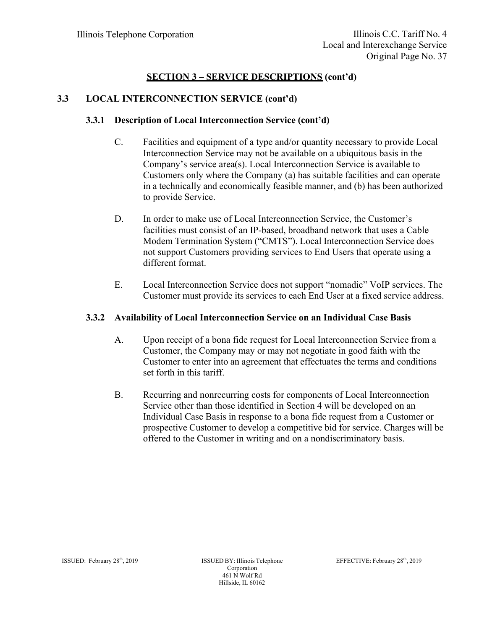## **3.3 LOCAL INTERCONNECTION SERVICE (cont'd)**

## **3.3.1 Description of Local Interconnection Service (cont'd)**

- C. Facilities and equipment of a type and/or quantity necessary to provide Local Interconnection Service may not be available on a ubiquitous basis in the Company's service area(s). Local Interconnection Service is available to Customers only where the Company (a) has suitable facilities and can operate in a technically and economically feasible manner, and (b) has been authorized to provide Service.
- D. In order to make use of Local Interconnection Service, the Customer's facilities must consist of an IP-based, broadband network that uses a Cable Modem Termination System ("CMTS"). Local Interconnection Service does not support Customers providing services to End Users that operate using a different format.
- E. Local Interconnection Service does not support "nomadic" VoIP services. The Customer must provide its services to each End User at a fixed service address.

## **3.3.2 Availability of Local Interconnection Service on an Individual Case Basis**

- A. Upon receipt of a bona fide request for Local Interconnection Service from a Customer, the Company may or may not negotiate in good faith with the Customer to enter into an agreement that effectuates the terms and conditions set forth in this tariff.
- B. Recurring and nonrecurring costs for components of Local Interconnection Service other than those identified in Section 4 will be developed on an Individual Case Basis in response to a bona fide request from a Customer or prospective Customer to develop a competitive bid for service. Charges will be offered to the Customer in writing and on a nondiscriminatory basis.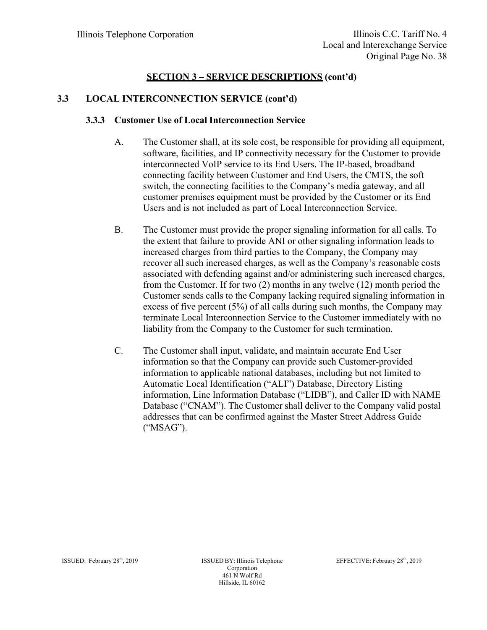# **3.3 LOCAL INTERCONNECTION SERVICE (cont'd)**

## **3.3.3 Customer Use of Local Interconnection Service**

- A. The Customer shall, at its sole cost, be responsible for providing all equipment, software, facilities, and IP connectivity necessary for the Customer to provide interconnected VoIP service to its End Users. The IP-based, broadband connecting facility between Customer and End Users, the CMTS, the soft switch, the connecting facilities to the Company's media gateway, and all customer premises equipment must be provided by the Customer or its End Users and is not included as part of Local Interconnection Service.
- B. The Customer must provide the proper signaling information for all calls. To the extent that failure to provide ANI or other signaling information leads to increased charges from third parties to the Company, the Company may recover all such increased charges, as well as the Company's reasonable costs associated with defending against and/or administering such increased charges, from the Customer. If for two (2) months in any twelve (12) month period the Customer sends calls to the Company lacking required signaling information in excess of five percent (5%) of all calls during such months, the Company may terminate Local Interconnection Service to the Customer immediately with no liability from the Company to the Customer for such termination.
- C. The Customer shall input, validate, and maintain accurate End User information so that the Company can provide such Customer-provided information to applicable national databases, including but not limited to Automatic Local Identification ("ALI") Database, Directory Listing information, Line Information Database ("LIDB"), and Caller ID with NAME Database ("CNAM"). The Customer shall deliver to the Company valid postal addresses that can be confirmed against the Master Street Address Guide ("MSAG").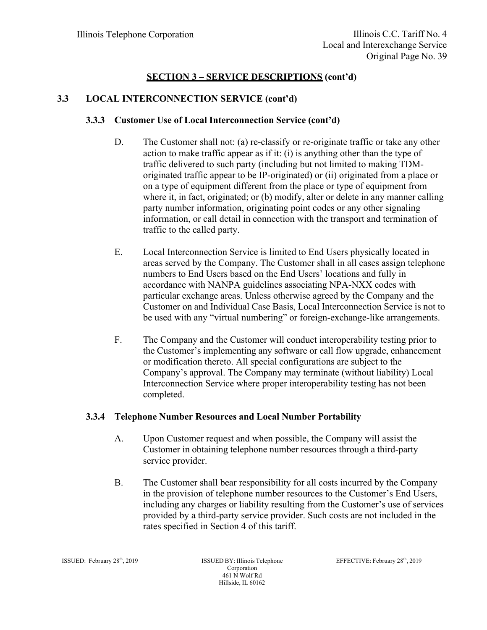## **3.3 LOCAL INTERCONNECTION SERVICE (cont'd)**

## **3.3.3 Customer Use of Local Interconnection Service (cont'd)**

- D. The Customer shall not: (a) re-classify or re-originate traffic or take any other action to make traffic appear as if it: (i) is anything other than the type of traffic delivered to such party (including but not limited to making TDMoriginated traffic appear to be IP-originated) or (ii) originated from a place or on a type of equipment different from the place or type of equipment from where it, in fact, originated; or (b) modify, alter or delete in any manner calling party number information, originating point codes or any other signaling information, or call detail in connection with the transport and termination of traffic to the called party.
- E. Local Interconnection Service is limited to End Users physically located in areas served by the Company. The Customer shall in all cases assign telephone numbers to End Users based on the End Users' locations and fully in accordance with NANPA guidelines associating NPA-NXX codes with particular exchange areas. Unless otherwise agreed by the Company and the Customer on and Individual Case Basis, Local Interconnection Service is not to be used with any "virtual numbering" or foreign-exchange-like arrangements.
- F. The Company and the Customer will conduct interoperability testing prior to the Customer's implementing any software or call flow upgrade, enhancement or modification thereto. All special configurations are subject to the Company's approval. The Company may terminate (without liability) Local Interconnection Service where proper interoperability testing has not been completed.

## **3.3.4 Telephone Number Resources and Local Number Portability**

- A. Upon Customer request and when possible, the Company will assist the Customer in obtaining telephone number resources through a third-party service provider.
- B. The Customer shall bear responsibility for all costs incurred by the Company in the provision of telephone number resources to the Customer's End Users, including any charges or liability resulting from the Customer's use of services provided by a third-party service provider. Such costs are not included in the rates specified in Section 4 of this tariff.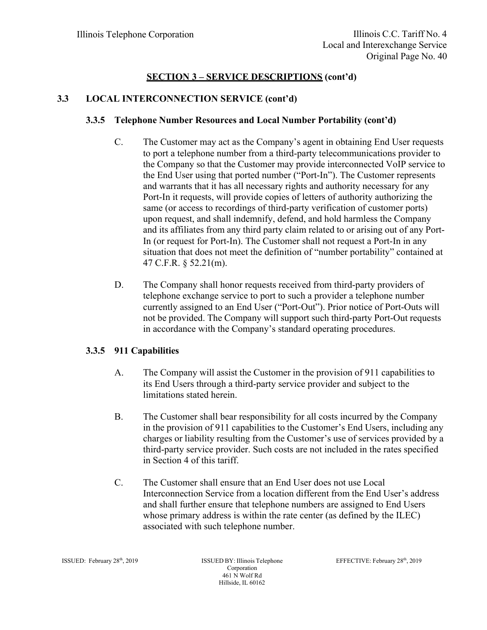# **3.3 LOCAL INTERCONNECTION SERVICE (cont'd)**

## **3.3.5 Telephone Number Resources and Local Number Portability (cont'd)**

- C. The Customer may act as the Company's agent in obtaining End User requests to port a telephone number from a third-party telecommunications provider to the Company so that the Customer may provide interconnected VoIP service to the End User using that ported number ("Port-In"). The Customer represents and warrants that it has all necessary rights and authority necessary for any Port-In it requests, will provide copies of letters of authority authorizing the same (or access to recordings of third-party verification of customer ports) upon request, and shall indemnify, defend, and hold harmless the Company and its affiliates from any third party claim related to or arising out of any Port-In (or request for Port-In). The Customer shall not request a Port-In in any situation that does not meet the definition of "number portability" contained at 47 C.F.R. § 52.21(m).
- D. The Company shall honor requests received from third-party providers of telephone exchange service to port to such a provider a telephone number currently assigned to an End User ("Port-Out"). Prior notice of Port-Outs will not be provided. The Company will support such third-party Port-Out requests in accordance with the Company's standard operating procedures.

## **3.3.5 911 Capabilities**

- A. The Company will assist the Customer in the provision of 911 capabilities to its End Users through a third-party service provider and subject to the limitations stated herein.
- B. The Customer shall bear responsibility for all costs incurred by the Company in the provision of 911 capabilities to the Customer's End Users, including any charges or liability resulting from the Customer's use of services provided by a third-party service provider. Such costs are not included in the rates specified in Section 4 of this tariff.
- C. The Customer shall ensure that an End User does not use Local Interconnection Service from a location different from the End User's address and shall further ensure that telephone numbers are assigned to End Users whose primary address is within the rate center (as defined by the ILEC) associated with such telephone number.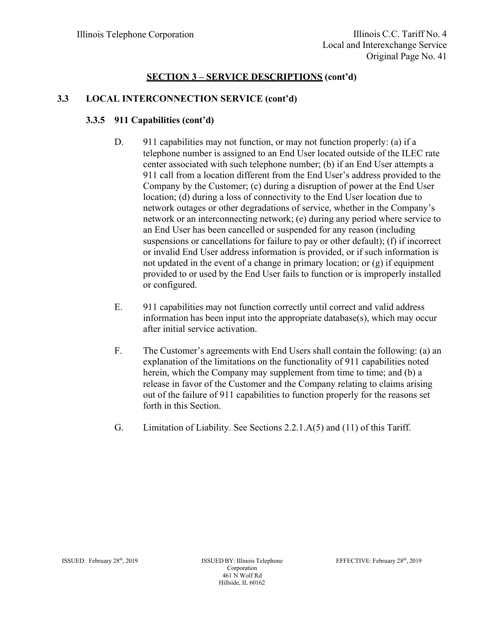# **3.3 LOCAL INTERCONNECTION SERVICE (cont'd)**

# **3.3.5 911 Capabilities (cont'd)**

- D. 911 capabilities may not function, or may not function properly: (a) if a telephone number is assigned to an End User located outside of the ILEC rate center associated with such telephone number; (b) if an End User attempts a 911 call from a location different from the End User's address provided to the Company by the Customer; (c) during a disruption of power at the End User location; (d) during a loss of connectivity to the End User location due to network outages or other degradations of service, whether in the Company's network or an interconnecting network; (e) during any period where service to an End User has been cancelled or suspended for any reason (including suspensions or cancellations for failure to pay or other default); (f) if incorrect or invalid End User address information is provided, or if such information is not updated in the event of a change in primary location; or (g) if equipment provided to or used by the End User fails to function or is improperly installed or configured.
- E. 911 capabilities may not function correctly until correct and valid address information has been input into the appropriate database(s), which may occur after initial service activation.
- F. The Customer's agreements with End Users shall contain the following: (a) an explanation of the limitations on the functionality of 911 capabilities noted herein, which the Company may supplement from time to time; and (b) a release in favor of the Customer and the Company relating to claims arising out of the failure of 911 capabilities to function properly for the reasons set forth in this Section.
- G. Limitation of Liability. See Sections 2.2.1.A(5) and (11) of this Tariff.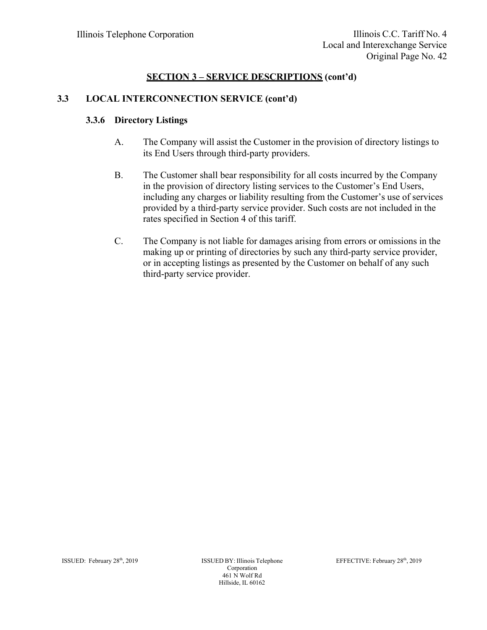# **3.3 LOCAL INTERCONNECTION SERVICE (cont'd)**

## **3.3.6 Directory Listings**

- A. The Company will assist the Customer in the provision of directory listings to its End Users through third-party providers.
- B. The Customer shall bear responsibility for all costs incurred by the Company in the provision of directory listing services to the Customer's End Users, including any charges or liability resulting from the Customer's use of services provided by a third-party service provider. Such costs are not included in the rates specified in Section 4 of this tariff.
- C. The Company is not liable for damages arising from errors or omissions in the making up or printing of directories by such any third-party service provider, or in accepting listings as presented by the Customer on behalf of any such third-party service provider.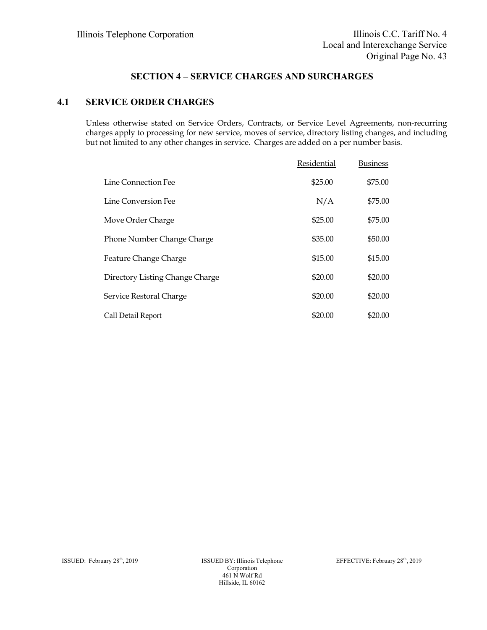# **SECTION 4 – SERVICE CHARGES AND SURCHARGES**

#### **4.1 SERVICE ORDER CHARGES**

Unless otherwise stated on Service Orders, Contracts, or Service Level Agreements, non-recurring charges apply to processing for new service, moves of service, directory listing changes, and including but not limited to any other changes in service. Charges are added on a per number basis.

|                                 | Residential | <b>Business</b> |
|---------------------------------|-------------|-----------------|
| Line Connection Fee             | \$25.00     | \$75.00         |
| Line Conversion Fee             | N/A         | \$75.00         |
| Move Order Charge               | \$25.00     | \$75.00         |
| Phone Number Change Charge      | \$35.00     | \$50.00         |
| Feature Change Charge           | \$15.00     | \$15.00         |
| Directory Listing Change Charge | \$20.00     | \$20.00         |
| Service Restoral Charge         | \$20.00     | \$20.00         |
| Call Detail Report              | \$20.00     | \$20.00         |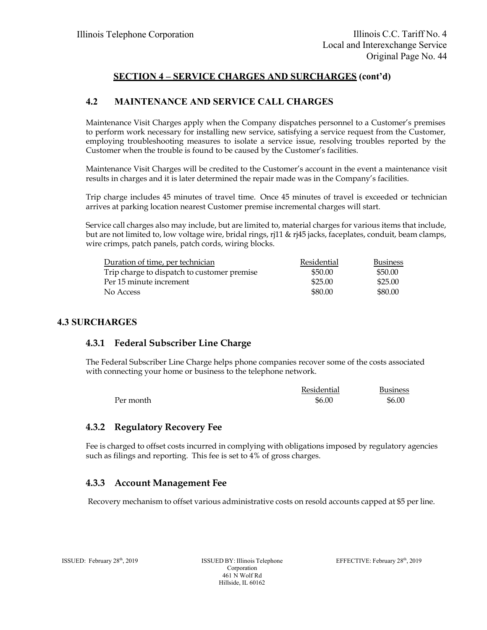# **SECTION 4 – SERVICE CHARGES AND SURCHARGES (cont'd)**

## **4.2 MAINTENANCE AND SERVICE CALL CHARGES**

Maintenance Visit Charges apply when the Company dispatches personnel to a Customer's premises to perform work necessary for installing new service, satisfying a service request from the Customer, employing troubleshooting measures to isolate a service issue, resolving troubles reported by the Customer when the trouble is found to be caused by the Customer's facilities.

Maintenance Visit Charges will be credited to the Customer's account in the event a maintenance visit results in charges and it is later determined the repair made was in the Company's facilities.

Trip charge includes 45 minutes of travel time. Once 45 minutes of travel is exceeded or technician arrives at parking location nearest Customer premise incremental charges will start.

Service call charges also may include, but are limited to, material charges for various items that include, but are not limited to, low voltage wire, bridal rings, rj11 & rj45 jacks, faceplates, conduit, beam clamps, wire crimps, patch panels, patch cords, wiring blocks.

| Duration of time, per technician            | Residential | <b>Business</b> |
|---------------------------------------------|-------------|-----------------|
| Trip charge to dispatch to customer premise | \$50.00     | \$50.00         |
| Per 15 minute increment                     | \$25.00     | \$25.00         |
| No Access                                   | \$80.00     | \$80.00         |

#### **4.3 SURCHARGES**

#### **4.3.1 Federal Subscriber Line Charge**

The Federal Subscriber Line Charge helps phone companies recover some of the costs associated with connecting your home or business to the telephone network.

|           | Residential | <b>Business</b> |
|-----------|-------------|-----------------|
| Per month | \$6.00      | \$6.00          |

#### **4.3.2 Regulatory Recovery Fee**

Fee is charged to offset costs incurred in complying with obligations imposed by regulatory agencies such as filings and reporting. This fee is set to 4% of gross charges.

#### **4.3.3 Account Management Fee**

Recovery mechanism to offset various administrative costs on resold accounts capped at \$5 per line.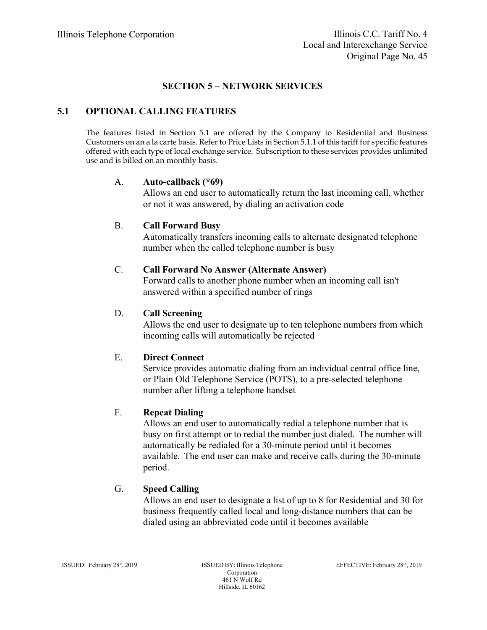## **SECTION 5 – NETWORK SERVICES**

## **5.1 OPTIONAL CALLING FEATURES**

The features listed in Section 5.1 are offered by the Company to Residential and Business Customers on an a la carte basis. Refer to Price Lists in Section 5.1.1 of this tariff for specific features offered with each type of local exchange service. Subscription to these services provides unlimited use and is billed on an monthly basis.

#### A. **Auto-callback (\*69)**

Allows an end user to automatically return the last incoming call, whether or not it was answered, by dialing an activation code

#### B. **Call Forward Busy**

Automatically transfers incoming calls to alternate designated telephone number when the called telephone number is busy

#### C. **Call Forward No Answer (Alternate Answer)**

Forward calls to another phone number when an incoming call isn't answered within a specified number of rings

#### D. **Call Screening**

Allows the end user to designate up to ten telephone numbers from which incoming calls will automatically be rejected

#### E. **Direct Connect**

Service provides automatic dialing from an individual central office line, or Plain Old Telephone Service (POTS), to a pre-selected telephone number after lifting a telephone handset

## F. **Repeat Dialing**

Allows an end user to automatically redial a telephone number that is busy on first attempt or to redial the number just dialed. The number will automatically be redialed for a 30-minute period until it becomes available. The end user can make and receive calls during the 30-minute period.

#### G. **Speed Calling**

Allows an end user to designate a list of up to 8 for Residential and 30 for business frequently called local and long-distance numbers that can be dialed using an abbreviated code until it becomes available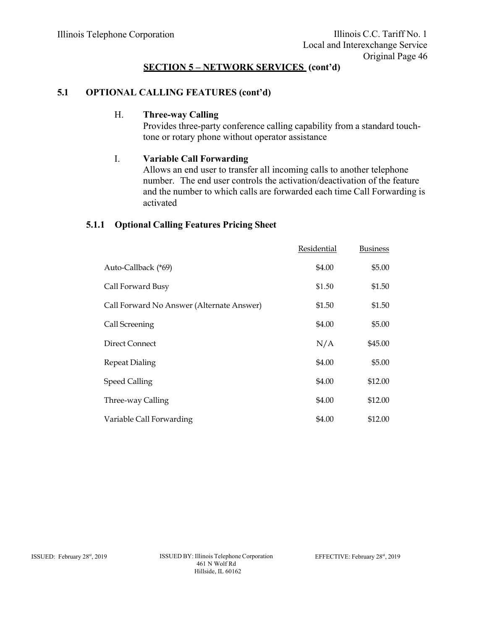# **5.1 OPTIONAL CALLING FEATURES (cont'd)**

#### H. **Three-way Calling**

Provides three-party conference calling capability from a standard touchtone or rotary phone without operator assistance

#### I. **Variable Call Forwarding**

Allows an end user to transfer all incoming calls to another telephone number. The end user controls the activation/deactivation of the feature and the number to which calls are forwarded each time Call Forwarding is activated

#### **5.1.1 Optional Calling Features Pricing Sheet**

|                                           | Residential | <b>Business</b> |
|-------------------------------------------|-------------|-----------------|
| Auto-Callback (*69)                       | \$4.00      | \$5.00          |
| Call Forward Busy                         | \$1.50      | \$1.50          |
| Call Forward No Answer (Alternate Answer) | \$1.50      | \$1.50          |
| Call Screening                            | \$4.00      | \$5.00          |
| Direct Connect                            | N/A         | \$45.00         |
| <b>Repeat Dialing</b>                     | \$4.00      | \$5.00          |
| <b>Speed Calling</b>                      | \$4.00      | \$12.00         |
| Three-way Calling                         | \$4.00      | \$12.00         |
| Variable Call Forwarding                  | \$4.00      | \$12.00         |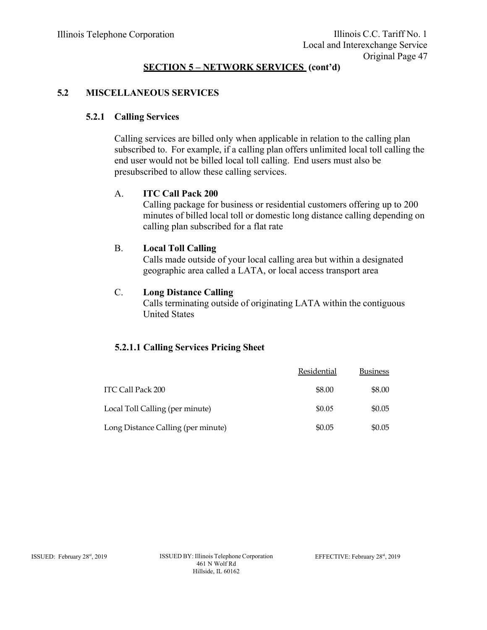## **5.2 MISCELLANEOUS SERVICES**

#### **5.2.1 Calling Services**

Calling services are billed only when applicable in relation to the calling plan subscribed to. For example, if a calling plan offers unlimited local toll calling the end user would not be billed local toll calling. End users must also be presubscribed to allow these calling services.

#### A. **ITC Call Pack 200**

Calling package for business or residential customers offering up to 200 minutes of billed local toll or domestic long distance calling depending on calling plan subscribed for a flat rate

#### B. **Local Toll Calling**

Calls made outside of your local calling area but within a designated geographic area called a LATA, or local access transport area

#### C. **Long Distance Calling**

Calls terminating outside of originating LATA within the contiguous United States

## **5.2.1.1 Calling Services Pricing Sheet**

|                                    | Residential | <b>Business</b> |
|------------------------------------|-------------|-----------------|
| ITC Call Pack 200                  | \$8.00      | \$8.00          |
| Local Toll Calling (per minute)    | \$0.05      | \$0.05          |
| Long Distance Calling (per minute) | \$0.05      | \$0.05          |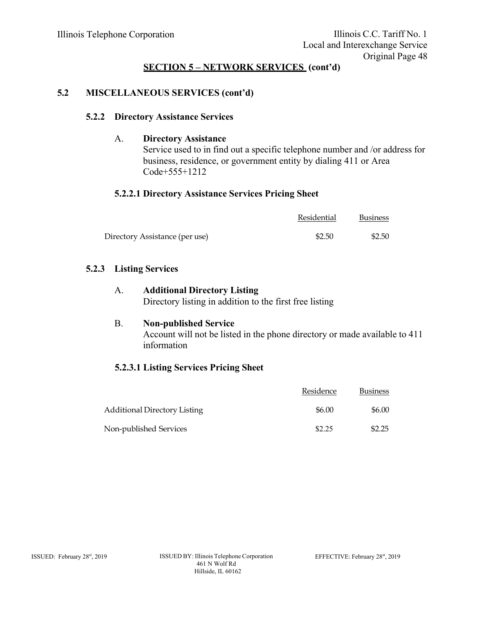## **5.2 MISCELLANEOUS SERVICES (cont'd)**

#### **5.2.2 Directory Assistance Services**

#### A. **Directory Assistance**

Service used to in find out a specific telephone number and /or address for business, residence, or government entity by dialing 411 or Area Code+555+1212

#### **5.2.2.1 Directory Assistance Services Pricing Sheet**

|                                | Residential | <b>Business</b> |
|--------------------------------|-------------|-----------------|
| Directory Assistance (per use) | \$2.50      | \$2.50          |

#### **5.2.3 Listing Services**

# A. **Additional Directory Listing**

Directory listing in addition to the first free listing

## B. **Non-published Service**

Account will not be listed in the phone directory or made available to 411 information

# **5.2.3.1 Listing Services Pricing Sheet**

|                                     | Residence | <b>Business</b> |
|-------------------------------------|-----------|-----------------|
| <b>Additional Directory Listing</b> | \$6.00    | \$6.00          |
| Non-published Services              | \$2.25    | \$2.25          |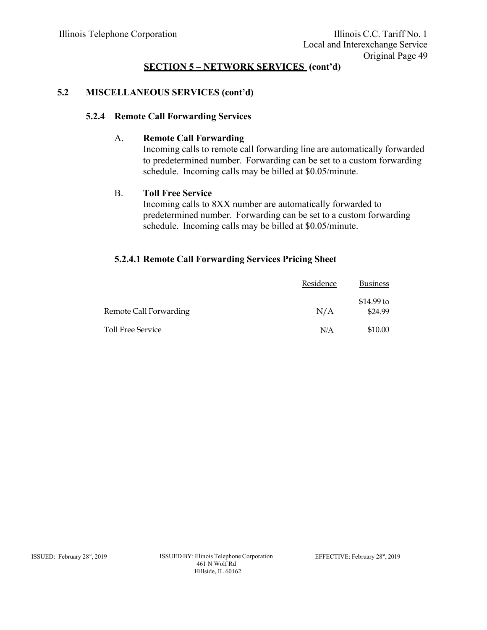# **5.2 MISCELLANEOUS SERVICES (cont'd)**

#### **5.2.4 Remote Call Forwarding Services**

#### A. **Remote Call Forwarding**

Incoming calls to remote call forwarding line are automatically forwarded to predetermined number. Forwarding can be set to a custom forwarding schedule. Incoming calls may be billed at \$0.05/minute.

#### B. **Toll Free Service**

Incoming calls to 8XX number are automatically forwarded to predetermined number. Forwarding can be set to a custom forwarding schedule. Incoming calls may be billed at \$0.05/minute.

#### **5.2.4.1 Remote Call Forwarding Services Pricing Sheet**

|                        | Residence | <b>Business</b>        |
|------------------------|-----------|------------------------|
| Remote Call Forwarding | N/A       | $$14.99$ to<br>\$24.99 |
| Toll Free Service      | N/A       | \$10.00                |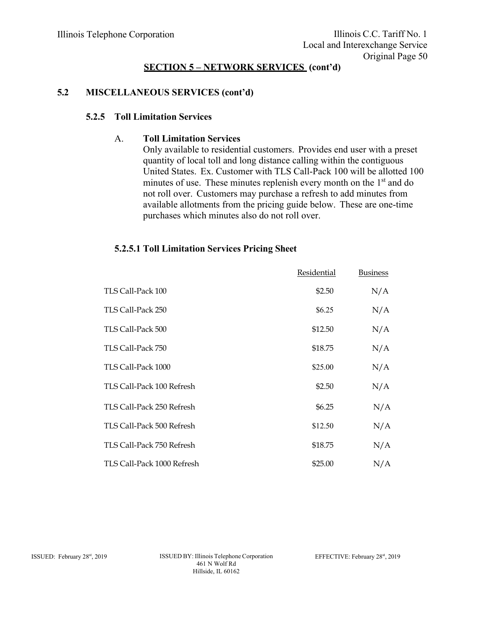## **5.2 MISCELLANEOUS SERVICES (cont'd)**

#### **5.2.5 Toll Limitation Services**

#### A. **Toll Limitation Services**

Only available to residential customers. Provides end user with a preset quantity of local toll and long distance calling within the contiguous United States. Ex. Customer with TLS Call-Pack 100 will be allotted 100 minutes of use. These minutes replenish every month on the 1<sup>st</sup> and do not roll over. Customers may purchase a refresh to add minutes from available allotments from the pricing guide below. These are one-time purchases which minutes also do not roll over.

# TLS Call-Pack 100 Residential \$2.50 Business N/A TLS Call-Pack  $250 \text{ N/A}$ TLS Call-Pack 500 \$12.50 N/A TLS Call-Pack 750  $\overline{S18.75}$  N/A TLS Call-Pack  $1000$   $$25.00$   $N/A$ TLS Call-Pack 100 Refresh  $$2.50$  N/A TLS Call-Pack 250 Refresh  $$6.25$  N/A TLS Call-Pack 500 Refresh  $$12.50$  N/A TLS Call-Pack 750 Refresh  $$18.75$  N/A

TLS Call-Pack 1000 Refresh \$25.00  $N/A$ 

#### **5.2.5.1 Toll Limitation Services Pricing Sheet**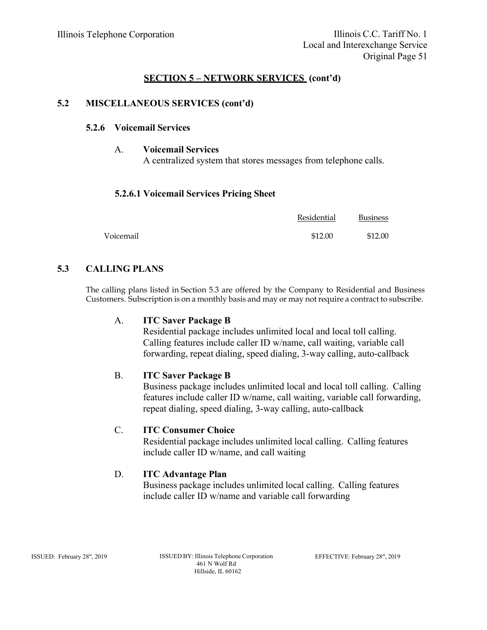#### **5.2 MISCELLANEOUS SERVICES (cont'd)**

#### **5.2.6 Voicemail Services**

A. **Voicemail Services**  A centralized system that stores messages from telephone calls.

#### **5.2.6.1 Voicemail Services Pricing Sheet**

|           | Residential | <b>Business</b> |
|-----------|-------------|-----------------|
| Voicemail | \$12.00     | \$12.00         |

## **5.3 CALLING PLANS**

The calling plans listed in Section 5.3 are offered by the Company to Residential and Business Customers. Subscription is on a monthly basis and may or may not require a contract to subscribe.

#### A. **ITC Saver Package B**

Residential package includes unlimited local and local toll calling. Calling features include caller ID w/name, call waiting, variable call forwarding, repeat dialing, speed dialing, 3-way calling, auto-callback

#### B. **ITC Saver Package B**

Business package includes unlimited local and local toll calling. Calling features include caller ID w/name, call waiting, variable call forwarding, repeat dialing, speed dialing, 3-way calling, auto-callback

#### C. **ITC Consumer Choice**

Residential package includes unlimited local calling. Calling features include caller ID w/name, and call waiting

#### D. **ITC Advantage Plan**

Business package includes unlimited local calling. Calling features include caller ID w/name and variable call forwarding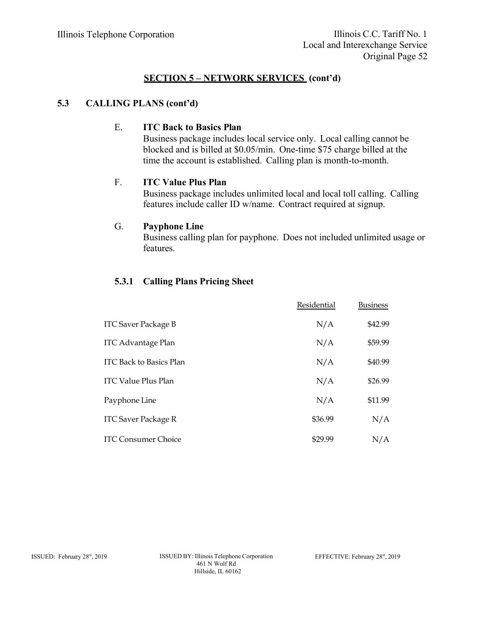#### **5.3 CALLING PLANS (cont'd)**

#### E. **ITC Back to Basics Plan**

Business package includes local service only. Local calling cannot be blocked and is billed at \$0.05/min. One-time \$75 charge billed at the time the account is established. Calling plan is month-to-month.

#### F. **ITC Value Plus Plan**

Business package includes unlimited local and local toll calling. Calling features include caller ID w/name. Contract required at signup.

#### G. **Payphone Line**

Business calling plan for payphone. Does not included unlimited usage or features.

#### **5.3.1 Calling Plans Pricing Sheet**

|                                | Residential | <b>Business</b> |
|--------------------------------|-------------|-----------------|
| <b>ITC Saver Package B</b>     | N/A         | \$42.99         |
| <b>ITC Advantage Plan</b>      | N/A         | \$59.99         |
| <b>ITC Back to Basics Plan</b> | N/A         | \$40.99         |
| <b>ITC Value Plus Plan</b>     | N/A         | \$26.99         |
| Payphone Line                  | N/A         | \$11.99         |
| <b>ITC Saver Package R</b>     | \$36.99     | N/A             |
| <b>ITC Consumer Choice</b>     | \$29.99     | N/A             |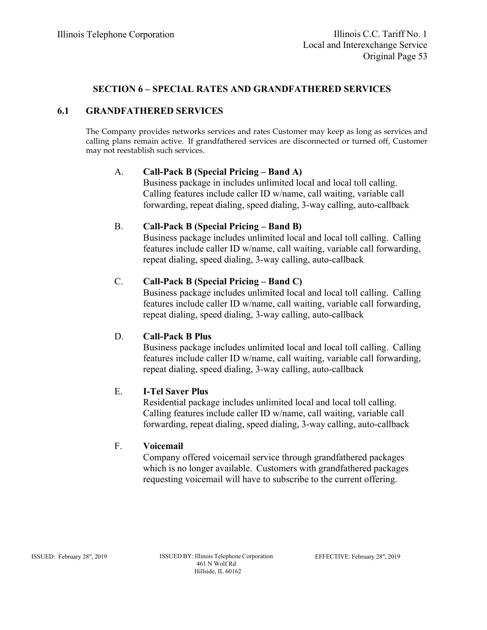## **SECTION 6 – SPECIAL RATES AND GRANDFATHERED SERVICES**

#### **6.1 GRANDFATHERED SERVICES**

The Company provides networks services and rates Customer may keep as long as services and calling plans remain active. If grandfathered services are disconnected or turned off, Customer may not reestablish such services.

#### A. **Call-Pack B (Special Pricing – Band A)**

Business package in includes unlimited local and local toll calling. Calling features include caller ID w/name, call waiting, variable call forwarding, repeat dialing, speed dialing, 3-way calling, auto-callback

#### B. **Call-Pack B (Special Pricing – Band B)**

Business package includes unlimited local and local toll calling. Calling features include caller ID w/name, call waiting, variable call forwarding, repeat dialing, speed dialing, 3-way calling, auto-callback

#### C. **Call-Pack B (Special Pricing – Band C)**

Business package includes unlimited local and local toll calling. Calling features include caller ID w/name, call waiting, variable call forwarding, repeat dialing, speed dialing, 3-way calling, auto-callback

#### D. **Call-Pack B Plus**

Business package includes unlimited local and local toll calling. Calling features include caller ID w/name, call waiting, variable call forwarding, repeat dialing, speed dialing, 3-way calling, auto-callback

#### E. **I-Tel Saver Plus**

Residential package includes unlimited local and local toll calling. Calling features include caller ID w/name, call waiting, variable call forwarding, repeat dialing, speed dialing, 3-way calling, auto-callback

#### F. **Voicemail**

Company offered voicemail service through grandfathered packages which is no longer available. Customers with grandfathered packages requesting voicemail will have to subscribe to the current offering.